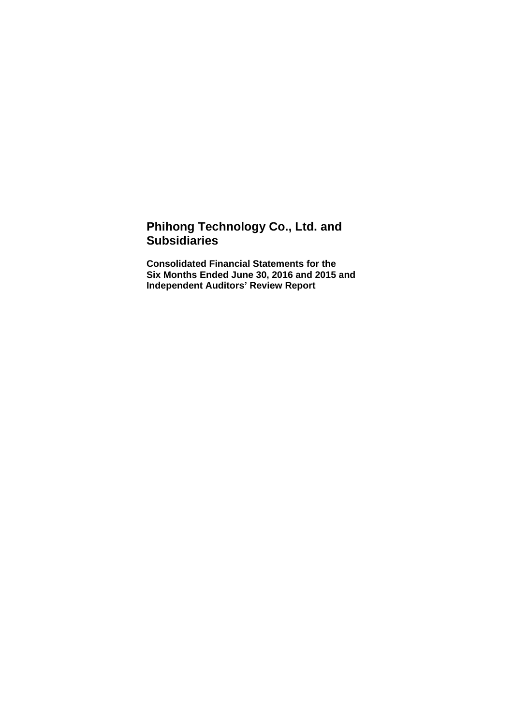# **Phihong Technology Co., Ltd. and Subsidiaries**

**Consolidated Financial Statements for the Six Months Ended June 30, 2016 and 2015 and Independent Auditors' Review Report**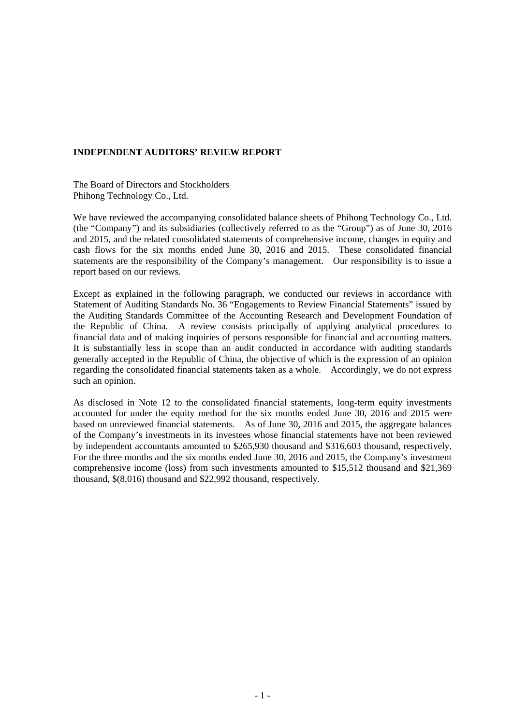#### **INDEPENDENT AUDITORS' REVIEW REPORT**

The Board of Directors and Stockholders Phihong Technology Co., Ltd.

We have reviewed the accompanying consolidated balance sheets of Phihong Technology Co., Ltd. (the "Company") and its subsidiaries (collectively referred to as the "Group") as of June 30, 2016 and 2015, and the related consolidated statements of comprehensive income, changes in equity and cash flows for the six months ended June 30, 2016 and 2015. These consolidated financial statements are the responsibility of the Company's management. Our responsibility is to issue a report based on our reviews.

Except as explained in the following paragraph, we conducted our reviews in accordance with Statement of Auditing Standards No. 36 "Engagements to Review Financial Statements" issued by the Auditing Standards Committee of the Accounting Research and Development Foundation of the Republic of China. A review consists principally of applying analytical procedures to financial data and of making inquiries of persons responsible for financial and accounting matters. It is substantially less in scope than an audit conducted in accordance with auditing standards generally accepted in the Republic of China, the objective of which is the expression of an opinion regarding the consolidated financial statements taken as a whole. Accordingly, we do not express such an opinion.

As disclosed in Note 12 to the consolidated financial statements, long-term equity investments accounted for under the equity method for the six months ended June 30, 2016 and 2015 were based on unreviewed financial statements. As of June 30, 2016 and 2015, the aggregate balances of the Company's investments in its investees whose financial statements have not been reviewed by independent accountants amounted to \$265,930 thousand and \$316,603 thousand, respectively. For the three months and the six months ended June 30, 2016 and 2015, the Company's investment comprehensive income (loss) from such investments amounted to \$15,512 thousand and \$21,369 thousand, \$(8,016) thousand and \$22,992 thousand, respectively.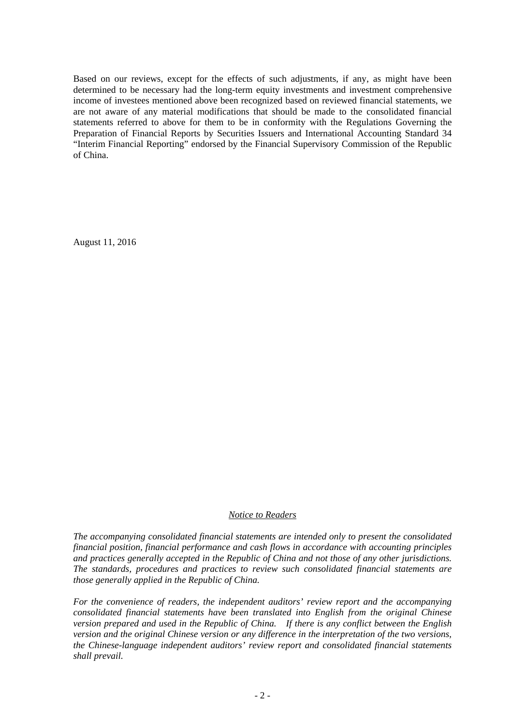Based on our reviews, except for the effects of such adjustments, if any, as might have been determined to be necessary had the long-term equity investments and investment comprehensive income of investees mentioned above been recognized based on reviewed financial statements, we are not aware of any material modifications that should be made to the consolidated financial statements referred to above for them to be in conformity with the Regulations Governing the Preparation of Financial Reports by Securities Issuers and International Accounting Standard 34 "Interim Financial Reporting" endorsed by the Financial Supervisory Commission of the Republic of China.

August 11, 2016

#### *Notice to Readers*

*The accompanying consolidated financial statements are intended only to present the consolidated financial position, financial performance and cash flows in accordance with accounting principles and practices generally accepted in the Republic of China and not those of any other jurisdictions. The standards, procedures and practices to review such consolidated financial statements are those generally applied in the Republic of China.* 

*For the convenience of readers, the independent auditors' review report and the accompanying consolidated financial statements have been translated into English from the original Chinese version prepared and used in the Republic of China. If there is any conflict between the English version and the original Chinese version or any difference in the interpretation of the two versions, the Chinese-language independent auditors' review report and consolidated financial statements shall prevail.*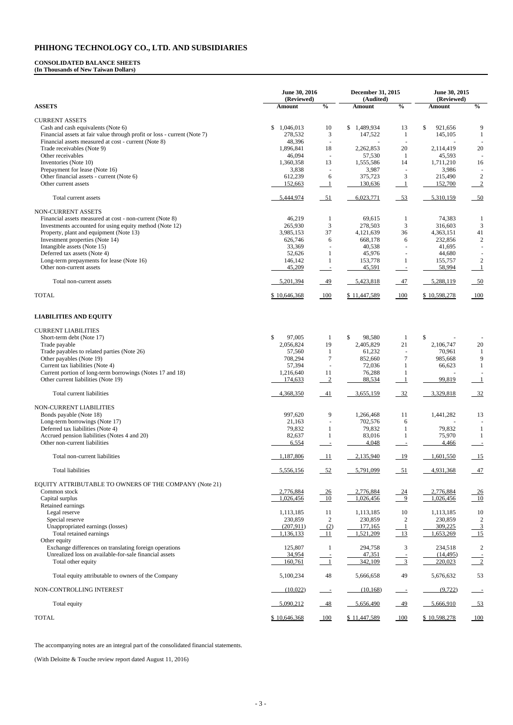#### **CONSOLIDATED BALANCE SHEETS (In Thousands of New Taiwan Dollars)**

**June 30, 2016 (Reviewed) December 31, 2015 (Audited) June 30, 2015 (Reviewed) ASSETS Amount % Amount % Amount %**  CURRENT ASSETS Cash and cash equivalents (Note 6)  $$ 1,046,013$   $10$   $$ 1,489,934$   $13$   $$ 921,656$  9 Financial assets at fair value through profit or loss - current (Note 7) 278,532 3 147,522 1 145,105 1 Financial assets measured at cost - current (Note 8)<br>
Trade receivables (Note 9)<br>  $1,896,841$   $18$   $2,262,853$   $20$   $2,114,419$   $20$ Trade receivables (Note 9) 1,896,841 18 Other receivables 15,593 - 46,094 - 57,530 1 45,593 -Inventories (Note 10) 1,360,358 13 1,555,586 14 1,711,210 16 Prepayment for lease (Note 16)<br>
Other financial assets - current (Note 6)<br>  $612,239$   $6$   $375,723$   $3$   $215,490$ Other financial assets - current (Note 6) 612,239 6 375,723 3 215,490 2 Other current assets **152,663** 1 130,636 1 152,700 2 Total current assets 5,444,974 51 6,023,771 53 5,310,159 50 NON-CURRENT ASSETS Financial assets measured at cost - non-current (Note 8)  $46,219$  1 69,615 1 74,383 1 Investments accounted for using equity method (Note 12) <br>
Property, plant and equipment (Note 13) <br>
265,930 3 278,503 3 316,603 3<br>
3,985,153 37 4,121,639 36 4,363,151 41 Property, plant and equipment (Note 13) 3,985,153 37 4,121,639 36 4,363,151 Investment properties (Note 14) 626,746 6 668,178 6 232,856 2 Intangible assets (Note 15) 33,369 - 40,538 - 41,695 -Deferred tax assets (Note 4) 62,626 1 45,976 - 44,680 - 45,976 44,680 - 45,976 44,680 - 45,976 44,680 - 45,976 44,680 - 45,976 44,680 - 45,976 44,680 - 45,976 44,680 - 45,976 44,680 - 45,976 44,680 - 45,976 44,680 - 45,976 Long-term prepayments for lease (Note 16) 146,142 1 153,778 1 155,757 2 Other non-current assets 45,209 - 45,591 - 58,994 1 Total non-current assets 5,201,394 49 5,201,394 5,202,818 47 5,288,119 50 TOTAL 6 10,598,278 100 \$ 10,646,368 100 \$ 11,447,589 100 \$ 10,598,278 100 **LIABILITIES AND EQUITY** 

| <b>CURRENT LIABILITIES</b>                                |              |                          |                        |                  |              |                 |
|-----------------------------------------------------------|--------------|--------------------------|------------------------|------------------|--------------|-----------------|
| Short-term debt (Note 17)                                 | \$<br>97,005 | 1                        | $\mathbb{S}$<br>98,580 | -1               | $\mathbb{S}$ |                 |
| Trade payable                                             | 2,056,824    | 19                       | 2,405,829              | 21               | 2,106,747    | 20              |
| Trade payables to related parties (Note 26)               | 57,560       | 1                        | 61,232                 |                  | 70,961       |                 |
| Other payables (Note 19)                                  | 708,294      | $\overline{7}$           | 852,660                | 7                | 985,668      | 9               |
| Current tax liabilities (Note 4)                          | 57,394       | $\blacksquare$           | 72,036                 | 1                | 66,623       | $\mathbf{1}$    |
| Current portion of long-term borrowings (Notes 17 and 18) | 1,216,640    | 11                       | 76,288                 |                  |              |                 |
| Other current liabilities (Note 19)                       | 174,633      | $\overline{2}$           | 88,534                 |                  | 99,819       |                 |
|                                                           |              |                          |                        |                  |              |                 |
| Total current liabilities                                 | 4,368,350    | $-41$                    | 3,655,159              | $-32$            | 3,329,818    | $-32$           |
| NON-CURRENT LIABILITIES                                   |              |                          |                        |                  |              |                 |
| Bonds payable (Note 18)                                   | 997,620      | 9                        | 1,266,468              | 11               | 1,441,282    | 13              |
| Long-term borrowings (Note 17)                            | 21,163       | $\bar{a}$                | 702,576                | 6                |              |                 |
| Deferred tax liabilities (Note 4)                         | 79,832       | 1                        | 79,832                 |                  | 79,832       | 1               |
| Accrued pension liabilities (Notes 4 and 20)              | 82,637       | 1                        | 83,016                 |                  | 75,970       | 1               |
| Other non-current liabilities                             | 6,554        | $\overline{\phantom{a}}$ | 4,048                  | $\blacksquare$   | 4,466        | $\overline{a}$  |
|                                                           |              |                          |                        |                  |              |                 |
| Total non-current liabilities                             | 1,187,806    | $\frac{-11}{2}$          | 2,135,940              | $-19$            | 1,601,550    | $-15$           |
| <b>Total liabilities</b>                                  | 5,556,156    | $-52$                    | 5,791,099              | $-51$            | 4,931,368    | $-47$           |
|                                                           |              |                          |                        |                  |              |                 |
| EQUITY ATTRIBUTABLE TO OWNERS OF THE COMPANY (Note 21)    |              |                          |                        |                  |              |                 |
| Common stock                                              | 2,776,884    | $-26$                    | 2,776,884              | $-24$            | 2,776,884    | $\frac{-26}{2}$ |
| Capital surplus                                           | 1,026,456    | $-10$                    | 1,026,456              | 9                | 1,026,456    | $\frac{10}{2}$  |
| Retained earnings                                         |              |                          |                        |                  |              |                 |
| Legal reserve                                             | 1,113,185    | 11                       | 1,113,185              | 10               | 1,113,185    | 10              |
|                                                           |              |                          |                        |                  |              |                 |
| Special reserve                                           | 230,859      | $\overline{2}$           | 230,859                | $\boldsymbol{2}$ | 230,859      | $\overline{2}$  |
| Unappropriated earnings (losses)                          | (207,911)    | (2)                      | 177,165                |                  | 309,225      | $\frac{3}{15}$  |
| Total retained earnings                                   | 1,136,133    | 11                       | 1,521,209              | 13               | 1,653,269    |                 |
| Other equity                                              |              |                          |                        |                  |              |                 |
| Exchange differences on translating foreign operations    | 125,807      | 1                        | 294,758                | $\mathfrak{Z}$   | 234,518      | $\overline{2}$  |
| Unrealized loss on available-for-sale financial assets    | 34,954       |                          | 47,351                 |                  | (14, 495)    |                 |
| Total other equity                                        | 160,761      | $\overline{1}$           | 342,109                | $\frac{1}{3}$    | 220,023      | $\overline{2}$  |
| Total equity attributable to owners of the Company        | 5,100,234    | 48                       | 5,666,658              | 49               | 5,676,632    | 53              |
| NON-CONTROLLING INTEREST                                  | (10,022)     | $\sim$ $-$               | (10, 168)              | $\equiv$         | (9, 722)     |                 |
| Total equity                                              | 5,090,212    | $-48$                    | 5,656,490              | 49               | 5,666,910    | $-53$           |
| <b>TOTAL</b>                                              | \$10,646,368 | 100                      | \$11,447,589           | $-100$           | \$10,598,278 |                 |

The accompanying notes are an integral part of the consolidated financial statements.

(With Deloitte & Touche review report dated August 11, 2016)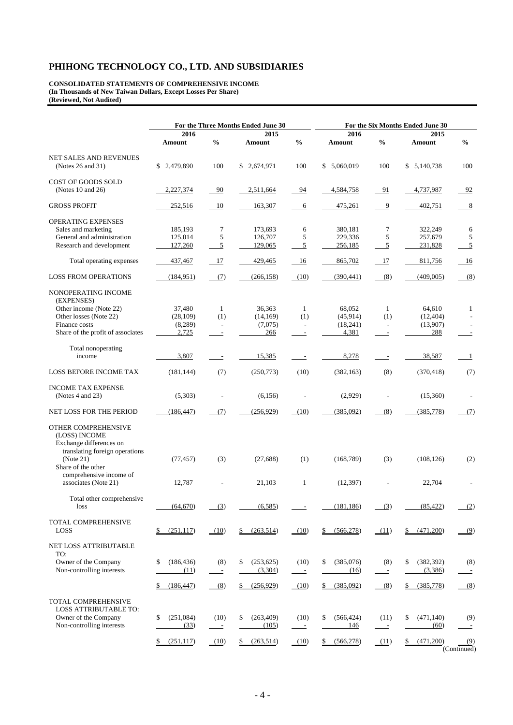**CONSOLIDATED STATEMENTS OF COMPREHENSIVE INCOME (In Thousands of New Taiwan Dollars, Except Losses Per Share) (Reviewed, Not Audited)** 

|                                                   | For the Three Months Ended June 30 |                          |                  |                          | For the Six Months Ended June 30 |                          |                  |                          |  |  |
|---------------------------------------------------|------------------------------------|--------------------------|------------------|--------------------------|----------------------------------|--------------------------|------------------|--------------------------|--|--|
|                                                   | 2016                               |                          | 2015             |                          | 2016                             |                          | 2015             |                          |  |  |
|                                                   | Amount                             | $\frac{0}{0}$            | Amount           | $\frac{0}{0}$            | <b>Amount</b>                    | $\frac{0}{0}$            | Amount           | $\frac{0}{0}$            |  |  |
| <b>NET SALES AND REVENUES</b>                     |                                    |                          |                  |                          |                                  |                          |                  |                          |  |  |
| (Notes 26 and 31)                                 | \$2,479,890                        | 100                      | \$2,674,971      | 100                      | \$ 5,060,019                     | 100                      | \$5,140,738      | 100                      |  |  |
| COST OF GOODS SOLD                                |                                    |                          |                  |                          |                                  |                          |                  |                          |  |  |
| (Notes $10$ and $26$ )                            | 2,227,374                          | 90                       | 2,511,664        | 94                       | 4,584,758                        | 91                       | 4,737,987        | 92                       |  |  |
| <b>GROSS PROFIT</b>                               | 252,516                            | 10                       | 163,307          | 6                        | 475,261                          | 9                        | 402,751          | 8                        |  |  |
| <b>OPERATING EXPENSES</b>                         |                                    |                          |                  |                          |                                  |                          |                  |                          |  |  |
| Sales and marketing                               | 185,193                            | 7                        | 173,693          | 6                        | 380,181                          | 7                        | 322,249          | 6                        |  |  |
| General and administration                        | 125,014                            | 5                        | 126,707          | 5                        | 229,336                          | 5                        | 257,679          | 5                        |  |  |
| Research and development                          | 127,260                            | 5                        | 129,065          | $\overline{5}$           | 256,185                          | $\overline{5}$           | 231,828          | $\overline{5}$           |  |  |
| Total operating expenses                          | 437,467                            | 17                       | 429,465          | - 16                     | 865,702                          | 17                       | 811,756          | -16                      |  |  |
|                                                   |                                    |                          |                  |                          |                                  |                          |                  |                          |  |  |
| <b>LOSS FROM OPERATIONS</b>                       | (184, 951)                         | (7)                      | (266, 158)       | (10)                     | (390, 441)                       | (8)                      | (409,005)        | (8)                      |  |  |
| NONOPERATING INCOME<br>(EXPENSES)                 |                                    |                          |                  |                          |                                  |                          |                  |                          |  |  |
| Other income (Note 22)                            | 37,480                             | 1                        | 36,363           | 1                        | 68,052                           | 1                        | 64,610           | $\mathbf{1}$             |  |  |
| Other losses (Note 22)                            | (28, 109)                          | (1)                      | (14, 169)        | (1)                      | (45,914)                         | (1)                      | (12, 404)        |                          |  |  |
| Finance costs                                     | (8, 289)                           | $\overline{\phantom{a}}$ | (7,075)          | $\overline{\phantom{a}}$ | (18,241)                         | $\overline{\phantom{a}}$ | (13,907)         |                          |  |  |
| Share of the profit of associates                 | 2,725                              | $\overline{\phantom{a}}$ | 266              | $\overline{\phantom{a}}$ | 4,381                            | $\overline{\phantom{a}}$ | 288              | $\overline{\phantom{a}}$ |  |  |
|                                                   |                                    |                          |                  |                          |                                  |                          |                  |                          |  |  |
| Total nonoperating                                |                                    |                          |                  |                          |                                  |                          |                  |                          |  |  |
| income                                            | 3,807                              | $\overline{\phantom{a}}$ | 15,385           |                          | 8,278                            |                          | 38,587           | $\mathbf{1}$             |  |  |
| <b>LOSS BEFORE INCOME TAX</b>                     | (181, 144)                         | (7)                      | (250, 773)       | (10)                     | (382, 163)                       | (8)                      | (370, 418)       | (7)                      |  |  |
| <b>INCOME TAX EXPENSE</b>                         |                                    |                          |                  |                          |                                  |                          |                  |                          |  |  |
| (Notes $4$ and $23$ )                             | (5,303)                            |                          | (6,156)          |                          | (2,929)                          |                          | (15,360)         |                          |  |  |
|                                                   |                                    |                          |                  |                          |                                  |                          |                  |                          |  |  |
| NET LOSS FOR THE PERIOD                           | (186, 447)                         | (7)                      | (256, 929)       | (10)                     | (385,092)                        | (8)                      | (385,778)        | (7)                      |  |  |
| OTHER COMPREHENSIVE                               |                                    |                          |                  |                          |                                  |                          |                  |                          |  |  |
| (LOSS) INCOME                                     |                                    |                          |                  |                          |                                  |                          |                  |                          |  |  |
| Exchange differences on                           |                                    |                          |                  |                          |                                  |                          |                  |                          |  |  |
| translating foreign operations                    |                                    |                          |                  |                          |                                  |                          |                  |                          |  |  |
| (Note 21)                                         | (77, 457)                          | (3)                      | (27, 688)        | (1)                      | (168, 789)                       | (3)                      | (108, 126)       | (2)                      |  |  |
| Share of the other                                |                                    |                          |                  |                          |                                  |                          |                  |                          |  |  |
| comprehensive income of                           |                                    |                          |                  |                          |                                  |                          |                  |                          |  |  |
| associates (Note 21)                              | 12,787                             |                          | 21,103           | -1                       | (12, 397)                        |                          | 22,704           |                          |  |  |
|                                                   |                                    |                          |                  |                          |                                  |                          |                  |                          |  |  |
| Total other comprehensive<br>loss                 | (64, 670)                          | (3)                      | (6,585)          |                          | (181, 186)                       | (3)                      | (85, 422)        | (2)                      |  |  |
|                                                   |                                    |                          |                  |                          |                                  |                          |                  |                          |  |  |
| TOTAL COMPREHENSIVE                               |                                    |                          |                  |                          |                                  |                          |                  |                          |  |  |
| <b>LOSS</b>                                       | \$<br>(251, 117)                   | (10)                     | (263,514)<br>\$  | (10)                     | (566, 278)<br>\$                 | (11)                     | \$<br>(471,200)  | (9)                      |  |  |
|                                                   |                                    |                          |                  |                          |                                  |                          |                  |                          |  |  |
| <b>NET LOSS ATTRIBUTABLE</b>                      |                                    |                          |                  |                          |                                  |                          |                  |                          |  |  |
| TO:                                               |                                    |                          |                  |                          |                                  |                          |                  |                          |  |  |
| Owner of the Company<br>Non-controlling interests | (186, 436)<br>\$                   | (8)                      | (253, 625)<br>\$ | (10)                     | (385,076)<br>\$                  | (8)                      | (382, 392)<br>\$ | (8)                      |  |  |
|                                                   | (11)                               | $\equiv$                 | (3,304)          | $\mathcal{L}$            | (16)                             | $\equiv$                 | (3,386)          | $\equiv$                 |  |  |
|                                                   | (186, 447)                         | (8)                      | \$<br>(256.929)  | (10)                     | (385,092)<br>\$                  | $-$ (8)                  | (385, 778)<br>\$ | (8)                      |  |  |
|                                                   |                                    |                          |                  |                          |                                  |                          |                  |                          |  |  |
| TOTAL COMPREHENSIVE                               |                                    |                          |                  |                          |                                  |                          |                  |                          |  |  |
| <b>LOSS ATTRIBUTABLE TO:</b>                      |                                    |                          |                  |                          |                                  |                          |                  |                          |  |  |
| Owner of the Company                              | (251,084)<br>\$                    | (10)                     | (263, 409)<br>\$ | (10)                     | \$<br>(566, 424)                 | (11)                     | (471, 140)<br>\$ | (9)                      |  |  |
| Non-controlling interests                         | (33)                               | $\overline{a}$           | (105)            | $\equiv$                 | 146                              | $\overline{\phantom{a}}$ | (60)             | $\equiv$                 |  |  |
|                                                   | (251, 117)                         | (10)                     | (263,514)        | (10)                     | (566, 278)                       |                          | (471,200)<br>\$_ | (9)                      |  |  |
|                                                   |                                    |                          |                  |                          |                                  | (11)                     |                  | (Continued)              |  |  |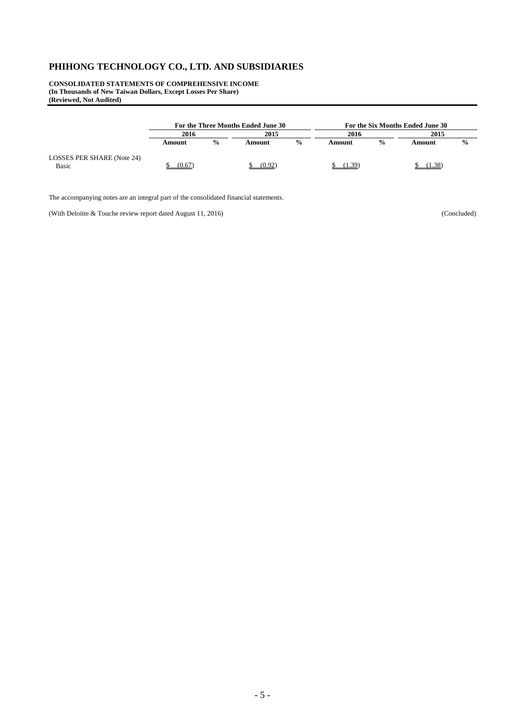**CONSOLIDATED STATEMENTS OF COMPREHENSIVE INCOME (In Thousands of New Taiwan Dollars, Except Losses Per Share) (Reviewed, Not Audited)** 

|                                            | For the Three Months Ended June 30 |               |        |               | For the Six Months Ended June 30 |               |        |               |  |
|--------------------------------------------|------------------------------------|---------------|--------|---------------|----------------------------------|---------------|--------|---------------|--|
|                                            | 2016                               |               | 2015   |               | 2016                             |               | 2015   |               |  |
|                                            | Amount                             | $\frac{0}{0}$ | Amount | $\frac{0}{0}$ | Amount                           | $\frac{0}{0}$ | Amount | $\frac{6}{9}$ |  |
| LOSSES PER SHARE (Note 24)<br><b>Basic</b> | (0.67)                             |               | (0.92) |               | $1.39^{\circ}$                   |               | 1.38   |               |  |

The accompanying notes are an integral part of the consolidated financial statements.

(With Deloitte & Touche review report dated August 11, 2016) (Concluded)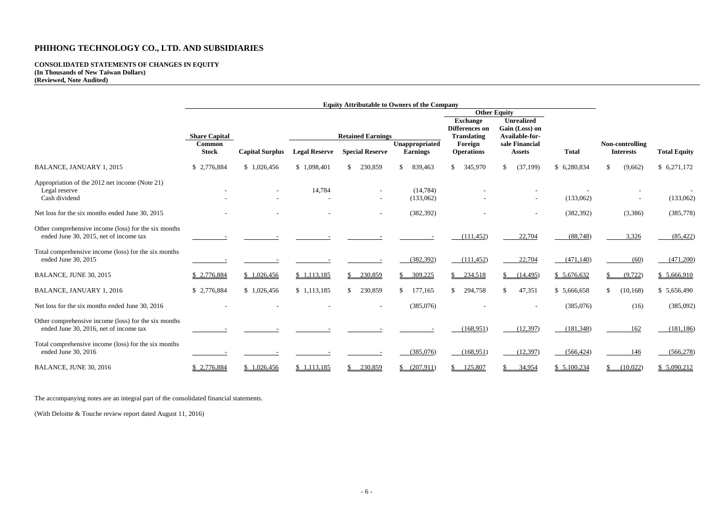#### **CONSOLIDATED STATEMENTS OF CHANGES IN EQUITY (In Thousands of New Taiwan Dollars) (Reviewed, Note Audited)**

| <b>Total</b>    |              | <b>Non-controlling</b><br><b>Interests</b> | <b>Total Equity</b> |  |  |  |  |
|-----------------|--------------|--------------------------------------------|---------------------|--|--|--|--|
| \$<br>6,280,834 | \$           | (9,662)                                    | \$6,271,172         |  |  |  |  |
|                 |              |                                            |                     |  |  |  |  |
| (133,062)       |              |                                            | (133,062)           |  |  |  |  |
| (382, 392)      |              | (3,386)                                    | (385, 778)          |  |  |  |  |
| (88, 748)       |              | 3,326                                      | (85, 422)           |  |  |  |  |
| (471, 140)      |              | (60)                                       | (471,200)           |  |  |  |  |
| \$<br>5,676,632 | $\mathbb{S}$ | (9, 722)                                   | \$5,666,910         |  |  |  |  |
| \$<br>5,666,658 | \$           | (10, 168)                                  | \$5,656,490         |  |  |  |  |
| (385,076)       |              | (16)                                       | (385,092)           |  |  |  |  |
| (181, 348)      |              | 162                                        | (181, 186)          |  |  |  |  |
| (566, 424)      |              | <b>146</b>                                 | (566, 278)          |  |  |  |  |
| \$5,100,234     | \$           | (10,022)                                   | \$5,090,212         |  |  |  |  |

|                                                                                                | <b>Equity Attributable to Owners of the Company</b> |                        |                      |                          |                        |              |                                                         |                              |                                                       |                                 |              |                                     |                     |
|------------------------------------------------------------------------------------------------|-----------------------------------------------------|------------------------|----------------------|--------------------------|------------------------|--------------|---------------------------------------------------------|------------------------------|-------------------------------------------------------|---------------------------------|--------------|-------------------------------------|---------------------|
|                                                                                                |                                                     |                        |                      |                          |                        |              |                                                         |                              |                                                       | <b>Other Equity</b>             |              |                                     |                     |
|                                                                                                | <b>Share Capital</b>                                |                        |                      | <b>Retained Earnings</b> |                        |              | <b>Exchange</b><br>Differences on<br><b>Translating</b> |                              | <b>Unrealized</b><br>Gain (Loss) on<br>Available-for- |                                 |              |                                     |                     |
|                                                                                                | <b>Common</b><br><b>Stock</b>                       | <b>Capital Surplus</b> | <b>Legal Reserve</b> |                          | <b>Special Reserve</b> |              | Unappropriated<br><b>Earnings</b>                       | Foreign<br><b>Operations</b> |                                                       | sale Financial<br><b>Assets</b> | <b>Total</b> | Non-controlling<br><b>Interests</b> | <b>Total Equity</b> |
| <b>BALANCE, JANUARY 1, 2015</b>                                                                | \$2,776,884                                         | \$1,026,456            | \$1,098,401          |                          | 230,859                | \$           | 839,463                                                 | \$<br>345,970                |                                                       | \$<br>(37,199)                  | \$6,280,834  | \$<br>(9,662)                       | \$6,271,172         |
| Appropriation of the 2012 net income (Note 21)<br>Legal reserve<br>Cash dividend               |                                                     |                        | 14,784               |                          |                        |              | (14, 784)<br>(133,062)                                  |                              |                                                       |                                 | (133,062)    |                                     | (133,062)           |
| Net loss for the six months ended June 30, 2015                                                |                                                     |                        |                      |                          |                        |              | (382, 392)                                              |                              |                                                       |                                 | (382, 392)   | (3,386)                             | (385,778)           |
| Other comprehensive income (loss) for the six months<br>ended June 30, 2015, net of income tax |                                                     |                        |                      |                          |                        |              |                                                         | (111, 452)                   |                                                       | 22,704                          | (88, 748)    | 3,326                               | (85, 422)           |
| Total comprehensive income (loss) for the six months<br>ended June 30, 2015                    |                                                     |                        |                      |                          |                        |              | (382, 392)                                              | (111, 452)                   |                                                       | 22,704                          | (471, 140)   | (60)                                | (471,200)           |
| BALANCE, JUNE 30, 2015                                                                         | \$2,776,884                                         | \$1,026,456            | \$1,113,185          |                          | 230,859                |              | 309,225                                                 | \$<br>234,518                |                                                       | (14, 495)                       | \$5,676,632  | (9, 722)                            | \$5,666,910         |
| <b>BALANCE, JANUARY 1, 2016</b>                                                                | \$2,776,884                                         | \$1,026,456            | \$1,113,185          | S.                       | 230,859                | \$           | 177,165                                                 | \$<br>294,758                |                                                       | $\mathbb{S}$<br>47,351          | \$5,666,658  | \$<br>(10, 168)                     | \$5,656,490         |
| Net loss for the six months ended June 30, 2016                                                |                                                     |                        |                      |                          |                        |              | (385,076)                                               |                              |                                                       |                                 | (385,076)    | (16)                                | (385,092)           |
| Other comprehensive income (loss) for the six months<br>ended June 30, 2016, net of income tax |                                                     |                        |                      |                          |                        |              |                                                         | (168, 951)                   |                                                       | (12, 397)                       | (181, 348)   | 162                                 | (181, 186)          |
| Total comprehensive income (loss) for the six months<br>ended June 30, 2016                    |                                                     |                        |                      |                          |                        |              | (385,076)                                               | (168,951)                    |                                                       | (12, 397)                       | (566, 424)   | 146                                 | (566, 278)          |
| <b>BALANCE, JUNE 30, 2016</b>                                                                  | \$2,776,884                                         | \$1,026,456            | \$1,113,185          |                          | 230,859                | <sup>S</sup> | (207,911)                                               | 125,807                      |                                                       | 34,954                          | \$5,100,234  | (10,022)                            | \$5,090,212         |

The accompanying notes are an integral part of the consolidated financial statements.

(With Deloitte & Touche review report dated August 11, 2016)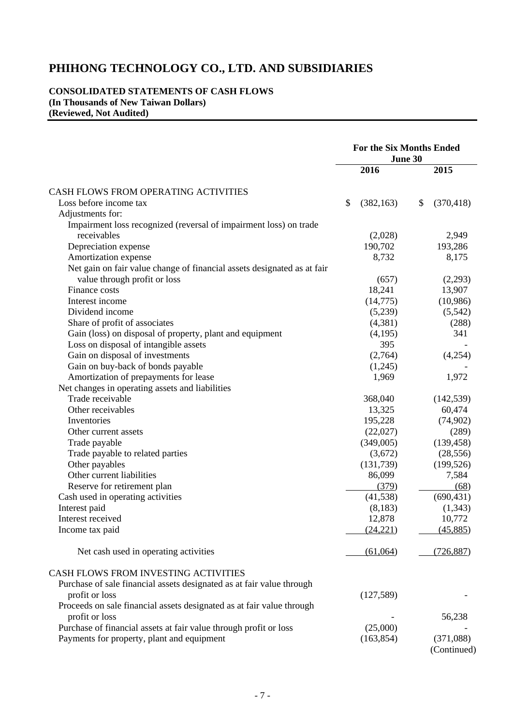#### **CONSOLIDATED STATEMENTS OF CASH FLOWS (In Thousands of New Taiwan Dollars) (Reviewed, Not Audited)**

|                                                                         | <b>For the Six Months Ended</b><br>June 30 |            |    |            |
|-------------------------------------------------------------------------|--------------------------------------------|------------|----|------------|
|                                                                         |                                            | 2016       |    | 2015       |
| CASH FLOWS FROM OPERATING ACTIVITIES                                    |                                            |            |    |            |
| Loss before income tax                                                  | \$                                         | (382, 163) | \$ | (370, 418) |
| Adjustments for:                                                        |                                            |            |    |            |
| Impairment loss recognized (reversal of impairment loss) on trade       |                                            |            |    |            |
| receivables                                                             |                                            | (2,028)    |    | 2,949      |
| Depreciation expense                                                    |                                            | 190,702    |    | 193,286    |
| Amortization expense                                                    |                                            | 8,732      |    | 8,175      |
| Net gain on fair value change of financial assets designated as at fair |                                            |            |    |            |
| value through profit or loss                                            |                                            | (657)      |    | (2,293)    |
| Finance costs                                                           |                                            | 18,241     |    | 13,907     |
| Interest income                                                         |                                            |            |    |            |
| Dividend income                                                         |                                            | (14,775)   |    | (10,986)   |
|                                                                         |                                            | (5,239)    |    | (5,542)    |
| Share of profit of associates                                           |                                            | (4,381)    |    | (288)      |
| Gain (loss) on disposal of property, plant and equipment                |                                            | (4,195)    |    | 341        |
| Loss on disposal of intangible assets                                   |                                            | 395        |    |            |
| Gain on disposal of investments                                         |                                            | (2,764)    |    | (4,254)    |
| Gain on buy-back of bonds payable                                       |                                            | (1,245)    |    |            |
| Amortization of prepayments for lease                                   |                                            | 1,969      |    | 1,972      |
| Net changes in operating assets and liabilities                         |                                            |            |    |            |
| Trade receivable                                                        |                                            | 368,040    |    | (142, 539) |
| Other receivables                                                       |                                            | 13,325     |    | 60,474     |
| Inventories                                                             |                                            | 195,228    |    | (74,902)   |
| Other current assets                                                    |                                            | (22,027)   |    | (289)      |
| Trade payable                                                           |                                            | (349,005)  |    | (139, 458) |
| Trade payable to related parties                                        |                                            | (3,672)    |    | (28, 556)  |
| Other payables                                                          |                                            | (131, 739) |    | (199, 526) |
| Other current liabilities                                               |                                            | 86,099     |    | 7,584      |
| Reserve for retirement plan                                             |                                            | (379)      |    | (68)       |
| Cash used in operating activities                                       |                                            | (41,538)   |    | (690, 431) |
| Interest paid                                                           |                                            | (8,183)    |    | (1, 343)   |
| Interest received                                                       |                                            | 12,878     |    | 10,772     |
| Income tax paid                                                         |                                            | (24, 221)  |    | (45,885)   |
|                                                                         |                                            |            |    |            |
| Net cash used in operating activities                                   |                                            | (61,064)   |    | (726, 887) |
| CASH FLOWS FROM INVESTING ACTIVITIES                                    |                                            |            |    |            |
| Purchase of sale financial assets designated as at fair value through   |                                            |            |    |            |
| profit or loss                                                          |                                            | (127, 589) |    |            |
| Proceeds on sale financial assets designated as at fair value through   |                                            |            |    |            |
| profit or loss                                                          |                                            |            |    | 56,238     |
| Purchase of financial assets at fair value through profit or loss       |                                            | (25,000)   |    |            |
| Payments for property, plant and equipment                              |                                            | (163, 854) |    | (371,088)  |
|                                                                         |                                            |            |    |            |

(Continued)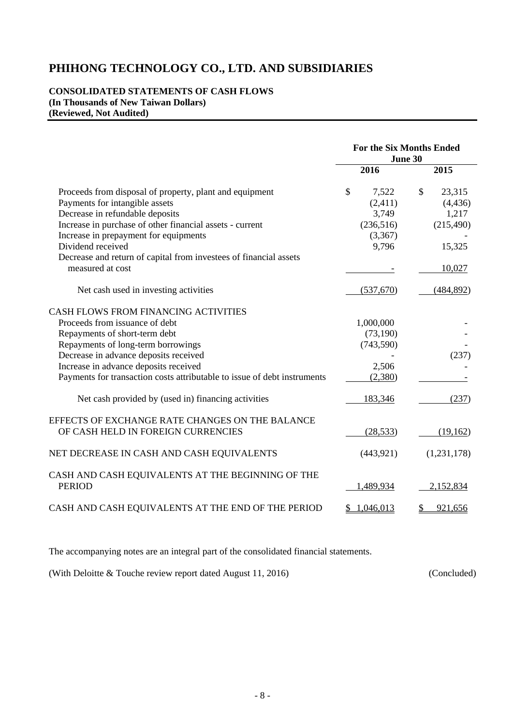#### **CONSOLIDATED STATEMENTS OF CASH FLOWS (In Thousands of New Taiwan Dollars) (Reviewed, Not Audited)**

|                                                                          |             | <b>For the Six Months Ended</b><br>June 30 |
|--------------------------------------------------------------------------|-------------|--------------------------------------------|
|                                                                          | 2016        | 2015                                       |
| Proceeds from disposal of property, plant and equipment                  | \$<br>7,522 | \$<br>23,315                               |
| Payments for intangible assets                                           | (2,411)     | (4, 436)                                   |
| Decrease in refundable deposits                                          | 3,749       | 1,217                                      |
| Increase in purchase of other financial assets - current                 | (236,516)   | (215, 490)                                 |
| Increase in prepayment for equipments                                    | (3,367)     |                                            |
| Dividend received                                                        | 9,796       | 15,325                                     |
| Decrease and return of capital from investees of financial assets        |             |                                            |
| measured at cost                                                         |             | 10,027                                     |
| Net cash used in investing activities                                    | (537,670)   | (484, 892)                                 |
| CASH FLOWS FROM FINANCING ACTIVITIES                                     |             |                                            |
| Proceeds from issuance of debt                                           | 1,000,000   |                                            |
| Repayments of short-term debt                                            | (73, 190)   |                                            |
| Repayments of long-term borrowings                                       | (743, 590)  |                                            |
| Decrease in advance deposits received                                    |             | (237)                                      |
| Increase in advance deposits received                                    | 2,506       |                                            |
| Payments for transaction costs attributable to issue of debt instruments | (2,380)     |                                            |
| Net cash provided by (used in) financing activities                      | 183,346     | (237)                                      |
| EFFECTS OF EXCHANGE RATE CHANGES ON THE BALANCE                          |             |                                            |
| OF CASH HELD IN FOREIGN CURRENCIES                                       | (28, 533)   | (19, 162)                                  |
| NET DECREASE IN CASH AND CASH EQUIVALENTS                                | (443, 921)  | (1,231,178)                                |
| CASH AND CASH EQUIVALENTS AT THE BEGINNING OF THE<br><b>PERIOD</b>       | 1,489,934   | 2,152,834                                  |
| CASH AND CASH EQUIVALENTS AT THE END OF THE PERIOD                       | \$1,046,013 | 921,656<br>\$                              |

The accompanying notes are an integral part of the consolidated financial statements.

(With Deloitte & Touche review report dated August 11, 2016) (Concluded)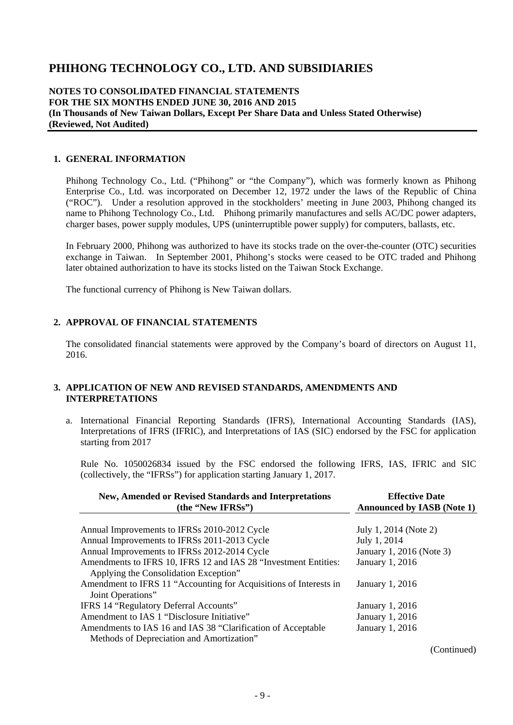#### **NOTES TO CONSOLIDATED FINANCIAL STATEMENTS FOR THE SIX MONTHS ENDED JUNE 30, 2016 AND 2015 (In Thousands of New Taiwan Dollars, Except Per Share Data and Unless Stated Otherwise) (Reviewed, Not Audited)**

#### **1. GENERAL INFORMATION**

Phihong Technology Co., Ltd. ("Phihong" or "the Company"), which was formerly known as Phihong Enterprise Co., Ltd. was incorporated on December 12, 1972 under the laws of the Republic of China ("ROC"). Under a resolution approved in the stockholders' meeting in June 2003, Phihong changed its name to Phihong Technology Co., Ltd. Phihong primarily manufactures and sells AC/DC power adapters, charger bases, power supply modules, UPS (uninterruptible power supply) for computers, ballasts, etc.

In February 2000, Phihong was authorized to have its stocks trade on the over-the-counter (OTC) securities exchange in Taiwan. In September 2001, Phihong's stocks were ceased to be OTC traded and Phihong later obtained authorization to have its stocks listed on the Taiwan Stock Exchange.

The functional currency of Phihong is New Taiwan dollars.

#### **2. APPROVAL OF FINANCIAL STATEMENTS**

The consolidated financial statements were approved by the Company's board of directors on August 11, 2016.

#### **3. APPLICATION OF NEW AND REVISED STANDARDS, AMENDMENTS AND INTERPRETATIONS**

a. International Financial Reporting Standards (IFRS), International Accounting Standards (IAS), Interpretations of IFRS (IFRIC), and Interpretations of IAS (SIC) endorsed by the FSC for application starting from 2017

Rule No. 1050026834 issued by the FSC endorsed the following IFRS, IAS, IFRIC and SIC (collectively, the "IFRSs") for application starting January 1, 2017.

| <b>New, Amended or Revised Standards and Interpretations</b><br>(the "New IFRSs")                         | <b>Effective Date</b><br><b>Announced by IASB (Note 1)</b> |
|-----------------------------------------------------------------------------------------------------------|------------------------------------------------------------|
| Annual Improvements to IFRSs 2010-2012 Cycle                                                              | July 1, 2014 (Note 2)                                      |
| Annual Improvements to IFRSs 2011-2013 Cycle                                                              | July 1, 2014                                               |
| Annual Improvements to IFRSs 2012-2014 Cycle                                                              | January 1, 2016 (Note 3)                                   |
| Amendments to IFRS 10, IFRS 12 and IAS 28 "Investment Entities:<br>Applying the Consolidation Exception"  | January 1, 2016                                            |
| Amendment to IFRS 11 "Accounting for Acquisitions of Interests in<br>Joint Operations"                    | January 1, 2016                                            |
| IFRS 14 "Regulatory Deferral Accounts"                                                                    | January 1, 2016                                            |
| Amendment to IAS 1 "Disclosure Initiative"                                                                | January 1, 2016                                            |
| Amendments to IAS 16 and IAS 38 "Clarification of Acceptable<br>Methods of Depreciation and Amortization" | January 1, 2016                                            |

(Continued)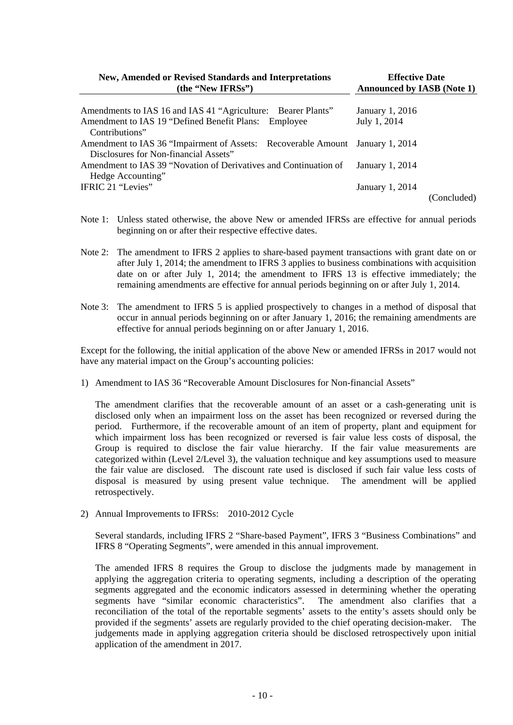| <b>New, Amended or Revised Standards and Interpretations</b><br>(the "New IFRSs")                                      | <b>Effective Date</b><br><b>Announced by IASB (Note 1)</b> |
|------------------------------------------------------------------------------------------------------------------------|------------------------------------------------------------|
| Amendments to IAS 16 and IAS 41 "Agriculture: Bearer Plants"                                                           | January 1, 2016                                            |
| Amendment to IAS 19 "Defined Benefit Plans: Employee<br>Contributions"                                                 | July 1, 2014                                               |
| Amendment to IAS 36 "Impairment of Assets: Recoverable Amount January 1, 2014<br>Disclosures for Non-financial Assets" |                                                            |
| Amendment to IAS 39 "Novation of Derivatives and Continuation of<br>Hedge Accounting"                                  | January 1, 2014                                            |
| IFRIC 21 "Levies"                                                                                                      | January 1, 2014                                            |
|                                                                                                                        | (Concluded)                                                |

- Note 1: Unless stated otherwise, the above New or amended IFRSs are effective for annual periods beginning on or after their respective effective dates.
- Note 2: The amendment to IFRS 2 applies to share-based payment transactions with grant date on or after July 1, 2014; the amendment to IFRS 3 applies to business combinations with acquisition date on or after July 1, 2014; the amendment to IFRS 13 is effective immediately; the remaining amendments are effective for annual periods beginning on or after July 1, 2014.
- Note 3: The amendment to IFRS 5 is applied prospectively to changes in a method of disposal that occur in annual periods beginning on or after January 1, 2016; the remaining amendments are effective for annual periods beginning on or after January 1, 2016.

Except for the following, the initial application of the above New or amended IFRSs in 2017 would not have any material impact on the Group's accounting policies:

1) Amendment to IAS 36 "Recoverable Amount Disclosures for Non-financial Assets"

The amendment clarifies that the recoverable amount of an asset or a cash-generating unit is disclosed only when an impairment loss on the asset has been recognized or reversed during the period. Furthermore, if the recoverable amount of an item of property, plant and equipment for which impairment loss has been recognized or reversed is fair value less costs of disposal, the Group is required to disclose the fair value hierarchy. If the fair value measurements are categorized within (Level 2/Level 3), the valuation technique and key assumptions used to measure the fair value are disclosed. The discount rate used is disclosed if such fair value less costs of disposal is measured by using present value technique. The amendment will be applied retrospectively.

2) Annual Improvements to IFRSs: 2010-2012 Cycle

Several standards, including IFRS 2 "Share-based Payment", IFRS 3 "Business Combinations" and IFRS 8 "Operating Segments", were amended in this annual improvement.

The amended IFRS 8 requires the Group to disclose the judgments made by management in applying the aggregation criteria to operating segments, including a description of the operating segments aggregated and the economic indicators assessed in determining whether the operating segments have "similar economic characteristics". The amendment also clarifies that a reconciliation of the total of the reportable segments' assets to the entity's assets should only be provided if the segments' assets are regularly provided to the chief operating decision-maker. The judgements made in applying aggregation criteria should be disclosed retrospectively upon initial application of the amendment in 2017.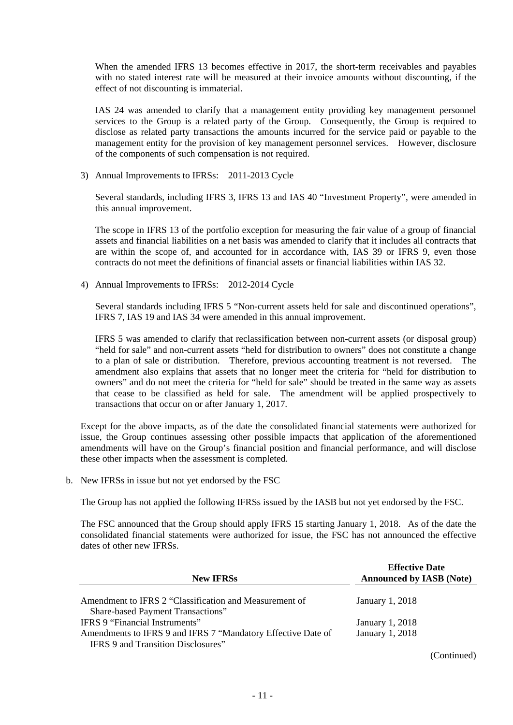When the amended IFRS 13 becomes effective in 2017, the short-term receivables and payables with no stated interest rate will be measured at their invoice amounts without discounting, if the effect of not discounting is immaterial.

IAS 24 was amended to clarify that a management entity providing key management personnel services to the Group is a related party of the Group. Consequently, the Group is required to disclose as related party transactions the amounts incurred for the service paid or payable to the management entity for the provision of key management personnel services. However, disclosure of the components of such compensation is not required.

3) Annual Improvements to IFRSs: 2011-2013 Cycle

Several standards, including IFRS 3, IFRS 13 and IAS 40 "Investment Property", were amended in this annual improvement.

The scope in IFRS 13 of the portfolio exception for measuring the fair value of a group of financial assets and financial liabilities on a net basis was amended to clarify that it includes all contracts that are within the scope of, and accounted for in accordance with, IAS 39 or IFRS 9, even those contracts do not meet the definitions of financial assets or financial liabilities within IAS 32.

4) Annual Improvements to IFRSs: 2012-2014 Cycle

Several standards including IFRS 5 "Non-current assets held for sale and discontinued operations", IFRS 7, IAS 19 and IAS 34 were amended in this annual improvement.

IFRS 5 was amended to clarify that reclassification between non-current assets (or disposal group) "held for sale" and non-current assets "held for distribution to owners" does not constitute a change to a plan of sale or distribution. Therefore, previous accounting treatment is not reversed. The amendment also explains that assets that no longer meet the criteria for "held for distribution to owners" and do not meet the criteria for "held for sale" should be treated in the same way as assets that cease to be classified as held for sale. The amendment will be applied prospectively to transactions that occur on or after January 1, 2017.

Except for the above impacts, as of the date the consolidated financial statements were authorized for issue, the Group continues assessing other possible impacts that application of the aforementioned amendments will have on the Group's financial position and financial performance, and will disclose these other impacts when the assessment is completed.

b. New IFRSs in issue but not yet endorsed by the FSC

The Group has not applied the following IFRSs issued by the IASB but not yet endorsed by the FSC.

The FSC announced that the Group should apply IFRS 15 starting January 1, 2018. As of the date the consolidated financial statements were authorized for issue, the FSC has not announced the effective dates of other new IFRSs.

| <b>New IFRSs</b>                                                                                   | <b>Effective Date</b><br><b>Announced by IASB (Note)</b> |
|----------------------------------------------------------------------------------------------------|----------------------------------------------------------|
| Amendment to IFRS 2 "Classification and Measurement of                                             | January 1, 2018                                          |
| Share-based Payment Transactions"                                                                  |                                                          |
| IFRS 9 "Financial Instruments"                                                                     | January 1, 2018                                          |
| Amendments to IFRS 9 and IFRS 7 "Mandatory Effective Date of<br>IFRS 9 and Transition Disclosures" | January 1, 2018                                          |
|                                                                                                    | $\sim$ $\sim$<br>$\sim$                                  |

(Continued)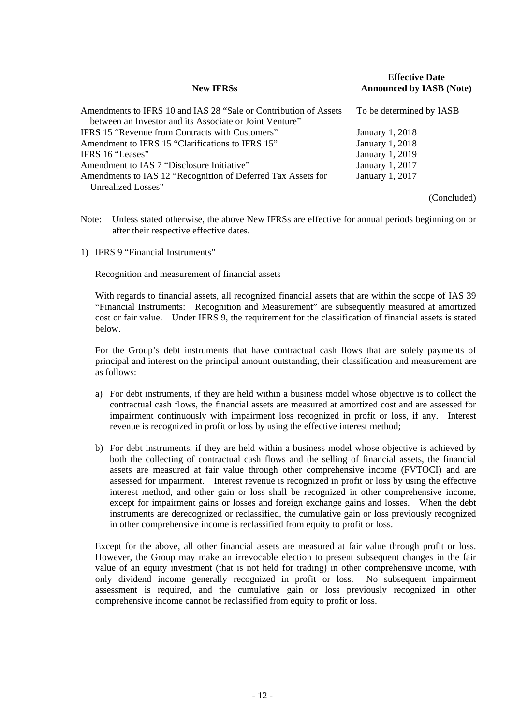| <b>New IFRSs</b>                                                 | <b>Effective Date</b><br><b>Announced by IASB (Note)</b> |  |  |  |  |  |
|------------------------------------------------------------------|----------------------------------------------------------|--|--|--|--|--|
| Amendments to IFRS 10 and IAS 28 "Sale or Contribution of Assets | To be determined by IASB                                 |  |  |  |  |  |
| between an Investor and its Associate or Joint Venture"          |                                                          |  |  |  |  |  |
| IFRS 15 "Revenue from Contracts with Customers"                  | <b>January 1, 2018</b>                                   |  |  |  |  |  |
| Amendment to IFRS 15 "Clarifications to IFRS 15"                 | January 1, 2018                                          |  |  |  |  |  |
| IFRS 16 "Leases"                                                 | January 1, 2019                                          |  |  |  |  |  |
| Amendment to IAS 7 "Disclosure Initiative"                       | January 1, 2017                                          |  |  |  |  |  |
| Amendments to IAS 12 "Recognition of Deferred Tax Assets for     | January 1, 2017                                          |  |  |  |  |  |
| Unrealized Losses"                                               |                                                          |  |  |  |  |  |
|                                                                  | (Concluded)                                              |  |  |  |  |  |

Note: Unless stated otherwise, the above New IFRSs are effective for annual periods beginning on or after their respective effective dates.

1) IFRS 9 "Financial Instruments"

Recognition and measurement of financial assets

With regards to financial assets, all recognized financial assets that are within the scope of IAS 39 "Financial Instruments: Recognition and Measurement" are subsequently measured at amortized cost or fair value. Under IFRS 9, the requirement for the classification of financial assets is stated below.

For the Group's debt instruments that have contractual cash flows that are solely payments of principal and interest on the principal amount outstanding, their classification and measurement are as follows:

- a) For debt instruments, if they are held within a business model whose objective is to collect the contractual cash flows, the financial assets are measured at amortized cost and are assessed for impairment continuously with impairment loss recognized in profit or loss, if any. Interest revenue is recognized in profit or loss by using the effective interest method;
- b) For debt instruments, if they are held within a business model whose objective is achieved by both the collecting of contractual cash flows and the selling of financial assets, the financial assets are measured at fair value through other comprehensive income (FVTOCI) and are assessed for impairment. Interest revenue is recognized in profit or loss by using the effective interest method, and other gain or loss shall be recognized in other comprehensive income, except for impairment gains or losses and foreign exchange gains and losses. When the debt instruments are derecognized or reclassified, the cumulative gain or loss previously recognized in other comprehensive income is reclassified from equity to profit or loss.

Except for the above, all other financial assets are measured at fair value through profit or loss. However, the Group may make an irrevocable election to present subsequent changes in the fair value of an equity investment (that is not held for trading) in other comprehensive income, with only dividend income generally recognized in profit or loss. No subsequent impairment assessment is required, and the cumulative gain or loss previously recognized in other comprehensive income cannot be reclassified from equity to profit or loss.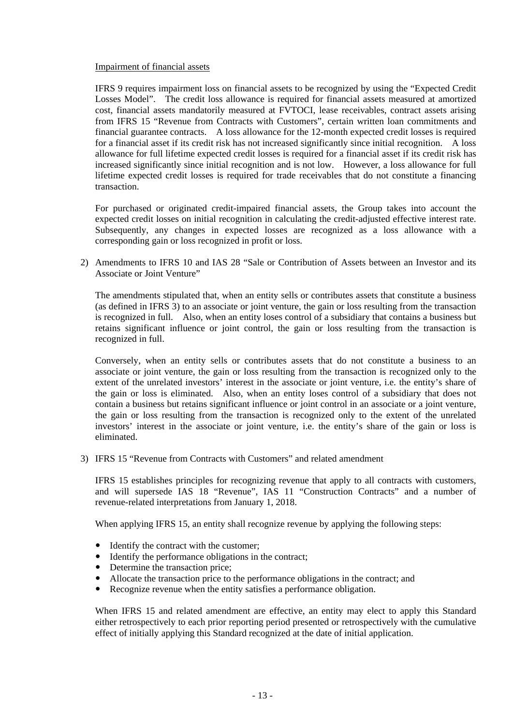#### Impairment of financial assets

IFRS 9 requires impairment loss on financial assets to be recognized by using the "Expected Credit Losses Model". The credit loss allowance is required for financial assets measured at amortized cost, financial assets mandatorily measured at FVTOCI, lease receivables, contract assets arising from IFRS 15 "Revenue from Contracts with Customers", certain written loan commitments and financial guarantee contracts. A loss allowance for the 12-month expected credit losses is required for a financial asset if its credit risk has not increased significantly since initial recognition. A loss allowance for full lifetime expected credit losses is required for a financial asset if its credit risk has increased significantly since initial recognition and is not low. However, a loss allowance for full lifetime expected credit losses is required for trade receivables that do not constitute a financing transaction.

For purchased or originated credit-impaired financial assets, the Group takes into account the expected credit losses on initial recognition in calculating the credit-adjusted effective interest rate. Subsequently, any changes in expected losses are recognized as a loss allowance with a corresponding gain or loss recognized in profit or loss.

2) Amendments to IFRS 10 and IAS 28 "Sale or Contribution of Assets between an Investor and its Associate or Joint Venture"

The amendments stipulated that, when an entity sells or contributes assets that constitute a business (as defined in IFRS 3) to an associate or joint venture, the gain or loss resulting from the transaction is recognized in full. Also, when an entity loses control of a subsidiary that contains a business but retains significant influence or joint control, the gain or loss resulting from the transaction is recognized in full.

Conversely, when an entity sells or contributes assets that do not constitute a business to an associate or joint venture, the gain or loss resulting from the transaction is recognized only to the extent of the unrelated investors' interest in the associate or joint venture, i.e. the entity's share of the gain or loss is eliminated. Also, when an entity loses control of a subsidiary that does not contain a business but retains significant influence or joint control in an associate or a joint venture, the gain or loss resulting from the transaction is recognized only to the extent of the unrelated investors' interest in the associate or joint venture, i.e. the entity's share of the gain or loss is eliminated.

3) IFRS 15 "Revenue from Contracts with Customers" and related amendment

IFRS 15 establishes principles for recognizing revenue that apply to all contracts with customers, and will supersede IAS 18 "Revenue", IAS 11 "Construction Contracts" and a number of revenue-related interpretations from January 1, 2018.

When applying IFRS 15, an entity shall recognize revenue by applying the following steps:

- Identify the contract with the customer;
- Identify the performance obligations in the contract;
- Determine the transaction price;
- Allocate the transaction price to the performance obligations in the contract; and
- Recognize revenue when the entity satisfies a performance obligation.

When IFRS 15 and related amendment are effective, an entity may elect to apply this Standard either retrospectively to each prior reporting period presented or retrospectively with the cumulative effect of initially applying this Standard recognized at the date of initial application.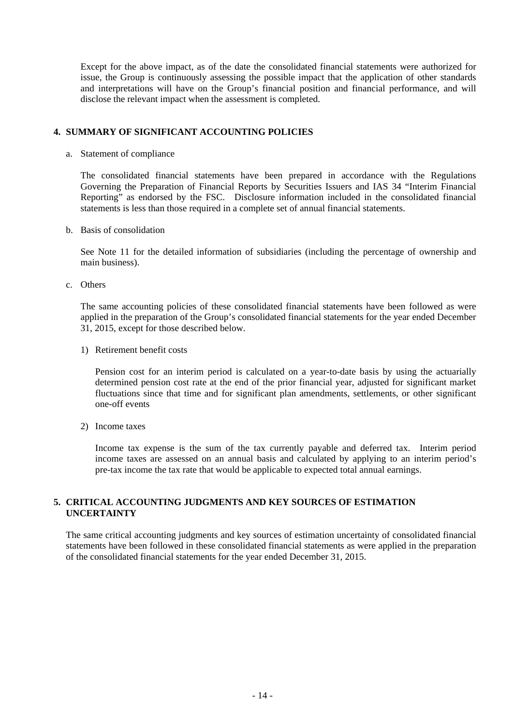Except for the above impact, as of the date the consolidated financial statements were authorized for issue, the Group is continuously assessing the possible impact that the application of other standards and interpretations will have on the Group's financial position and financial performance, and will disclose the relevant impact when the assessment is completed.

### **4. SUMMARY OF SIGNIFICANT ACCOUNTING POLICIES**

a. Statement of compliance

The consolidated financial statements have been prepared in accordance with the Regulations Governing the Preparation of Financial Reports by Securities Issuers and IAS 34 "Interim Financial Reporting" as endorsed by the FSC. Disclosure information included in the consolidated financial statements is less than those required in a complete set of annual financial statements.

b. Basis of consolidation

See Note 11 for the detailed information of subsidiaries (including the percentage of ownership and main business).

c. Others

The same accounting policies of these consolidated financial statements have been followed as were applied in the preparation of the Group's consolidated financial statements for the year ended December 31, 2015, except for those described below.

1) Retirement benefit costs

Pension cost for an interim period is calculated on a year-to-date basis by using the actuarially determined pension cost rate at the end of the prior financial year, adjusted for significant market fluctuations since that time and for significant plan amendments, settlements, or other significant one-off events

2) Income taxes

Income tax expense is the sum of the tax currently payable and deferred tax. Interim period income taxes are assessed on an annual basis and calculated by applying to an interim period's pre-tax income the tax rate that would be applicable to expected total annual earnings.

# **5. CRITICAL ACCOUNTING JUDGMENTS AND KEY SOURCES OF ESTIMATION UNCERTAINTY**

The same critical accounting judgments and key sources of estimation uncertainty of consolidated financial statements have been followed in these consolidated financial statements as were applied in the preparation of the consolidated financial statements for the year ended December 31, 2015.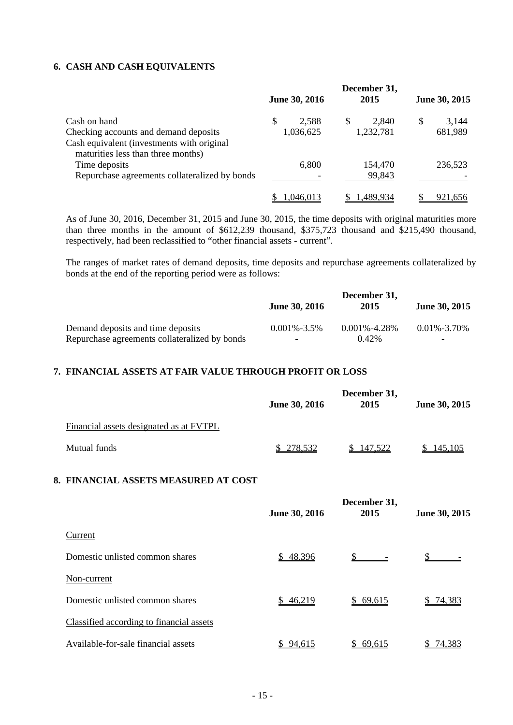# **6. CASH AND CASH EQUIVALENTS**

| Cash on hand                                                                                                              |  | June 30, 2016 | December 31,<br>2015 | June 30, 2015 |         |  |
|---------------------------------------------------------------------------------------------------------------------------|--|---------------|----------------------|---------------|---------|--|
|                                                                                                                           |  | 2,588         | \$<br>2,840          | \$            | 3,144   |  |
| Checking accounts and demand deposits<br>Cash equivalent (investments with original<br>maturities less than three months) |  | 1,036,625     | 1,232,781            |               | 681,989 |  |
| Time deposits<br>Repurchase agreements collateralized by bonds                                                            |  | 6,800         | 154,470<br>99,843    |               | 236,523 |  |
|                                                                                                                           |  | .046.013      | 1.489.934            |               | 921.656 |  |

As of June 30, 2016, December 31, 2015 and June 30, 2015, the time deposits with original maturities more than three months in the amount of \$612,239 thousand, \$375,723 thousand and \$215,490 thousand, respectively, had been reclassified to "other financial assets - current".

The ranges of market rates of demand deposits, time deposits and repurchase agreements collateralized by bonds at the end of the reporting period were as follows:

|                                               | <b>June 30, 2016</b>     | December 31,<br>2015 | <b>June 30, 2015</b>     |
|-----------------------------------------------|--------------------------|----------------------|--------------------------|
| Demand deposits and time deposits             | $0.001\% - 3.5\%$        | $0.001\% - 4.28\%$   | $0.01\% - 3.70\%$        |
| Repurchase agreements collateralized by bonds | $\overline{\phantom{a}}$ | $0.42\%$             | $\overline{\phantom{0}}$ |

# **7. FINANCIAL ASSETS AT FAIR VALUE THROUGH PROFIT OR LOSS**

|                                         | June 30, 2016 | December 31,<br>2015 | June 30, 2015 |
|-----------------------------------------|---------------|----------------------|---------------|
| Financial assets designated as at FVTPL |               |                      |               |
| Mutual funds                            | \$278,532     | 147,522              | 145,105       |

### **8. FINANCIAL ASSETS MEASURED AT COST**

|                                          | June 30, 2016 | December 31,<br>2015 | June 30, 2015 |
|------------------------------------------|---------------|----------------------|---------------|
| Current                                  |               |                      |               |
| Domestic unlisted common shares          | \$48,396      |                      |               |
| Non-current                              |               |                      |               |
| Domestic unlisted common shares          | \$46,219      | \$69,615             | 74,383        |
| Classified according to financial assets |               |                      |               |
| Available-for-sale financial assets      | \$94,615      | 69,615               | 74,383        |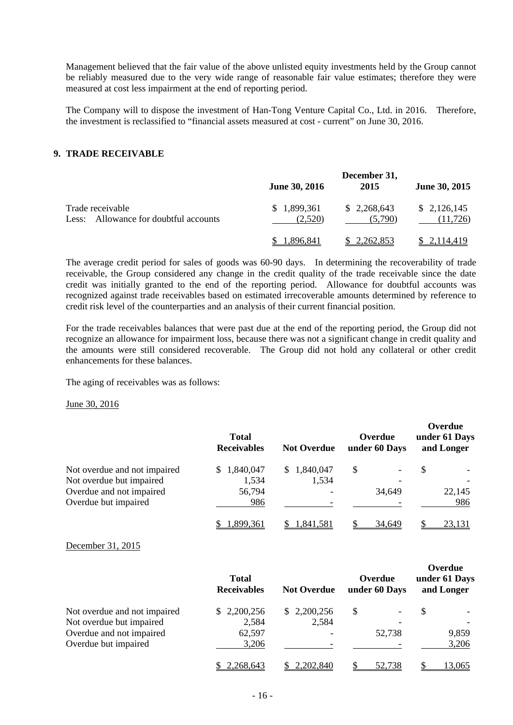Management believed that the fair value of the above unlisted equity investments held by the Group cannot be reliably measured due to the very wide range of reasonable fair value estimates; therefore they were measured at cost less impairment at the end of reporting period.

The Company will to dispose the investment of Han-Tong Venture Capital Co., Ltd. in 2016. Therefore, the investment is reclassified to "financial assets measured at cost - current" on June 30, 2016.

#### **9. TRADE RECEIVABLE**

|                                                              |                            | December 31,           |                          |
|--------------------------------------------------------------|----------------------------|------------------------|--------------------------|
|                                                              | <b>June 30, 2016</b>       | 2015                   | June 30, 2015            |
| Trade receivable<br>Allowance for doubtful accounts<br>Less: | 1,899,361<br>S.<br>(2,520) | \$2,268,643<br>(5.790) | \$2,126,145<br>(11, 726) |
|                                                              | .896.841                   | 2,262,853              | 2,114,419                |

The average credit period for sales of goods was 60-90 days. In determining the recoverability of trade receivable, the Group considered any change in the credit quality of the trade receivable since the date credit was initially granted to the end of the reporting period. Allowance for doubtful accounts was recognized against trade receivables based on estimated irrecoverable amounts determined by reference to credit risk level of the counterparties and an analysis of their current financial position.

For the trade receivables balances that were past due at the end of the reporting period, the Group did not recognize an allowance for impairment loss, because there was not a significant change in credit quality and the amounts were still considered recoverable. The Group did not hold any collateral or other credit enhancements for these balances.

The aging of receivables was as follows:

June 30, 2016

|                              | <b>Total</b><br><b>Receivables</b> | <b>Not Overdue</b> | Overdue<br>under 60 Days | Overdue<br>under 61 Days<br>and Longer |
|------------------------------|------------------------------------|--------------------|--------------------------|----------------------------------------|
| Not overdue and not impaired | \$1,840,047                        | 1,840,047<br>\$.   | S<br>Ξ.                  | \$                                     |
| Not overdue but impaired     | 1,534                              | 1,534              |                          |                                        |
| Overdue and not impaired     | 56,794                             |                    | 34,649                   | 22,145                                 |
| Overdue but impaired         | 986                                |                    |                          | 986                                    |
|                              | 1,899,361                          | .,841,581          | 34.649                   | 23,131                                 |

December 31, 2015

|                              | <b>Total</b><br><b>Receivables</b> | <b>Not Overdue</b>       | Overdue<br>under 60 Days | Overdue<br>under 61 Days<br>and Longer |
|------------------------------|------------------------------------|--------------------------|--------------------------|----------------------------------------|
| Not overdue and not impaired | \$2,200,256                        | \$2,200,256              | S                        | \$                                     |
| Not overdue but impaired     | 2,584                              | 2,584                    |                          |                                        |
| Overdue and not impaired     | 62,597                             | $\overline{\phantom{a}}$ | 52,738                   | 9,859                                  |
| Overdue but impaired         | 3,206                              |                          |                          | 3,206                                  |
|                              | 2,268,643                          | 2,202,840                | 52.738                   | <u>13.065</u>                          |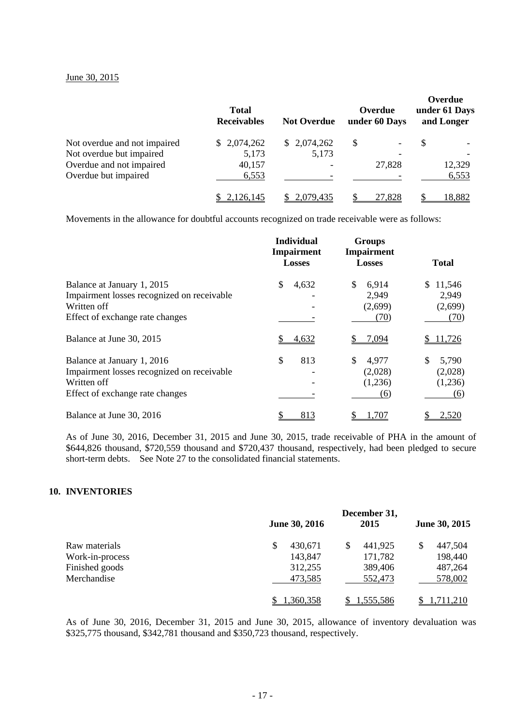#### June 30, 2015

|                              | <b>Total</b><br><b>Receivables</b> | <b>Not Overdue</b> | Overdue<br>under 60 Days | Overdue<br>under 61 Days<br>and Longer |
|------------------------------|------------------------------------|--------------------|--------------------------|----------------------------------------|
| Not overdue and not impaired | \$2,074,262                        | \$2,074,262        | S                        | \$                                     |
| Not overdue but impaired     | 5,173                              | 5,173              |                          |                                        |
| Overdue and not impaired     | 40,157                             |                    | 27,828                   | 12,329                                 |
| Overdue but impaired         | 6,553                              |                    |                          | 6,553                                  |
|                              | \$2,126,145                        | 2,079,435          | 27,828                   | 18,882                                 |

Movements in the allowance for doubtful accounts recognized on trade receivable were as follows:

|                                                                                                                            | <b>Individual</b><br><b>Impairment</b><br><b>Losses</b> | <b>Groups</b><br><b>Impairment</b><br><b>Losses</b> | <b>Total</b>                              |
|----------------------------------------------------------------------------------------------------------------------------|---------------------------------------------------------|-----------------------------------------------------|-------------------------------------------|
| Balance at January 1, 2015<br>Impairment losses recognized on receivable<br>Written off<br>Effect of exchange rate changes | \$<br>4,632                                             | 6,914<br>\$<br>2,949<br>(2,699)<br>(70)             | 11,546<br>\$.<br>2,949<br>(2,699)<br>(70) |
| Balance at June 30, 2015                                                                                                   | 4,632                                                   | 7,094                                               | 11,726                                    |
| Balance at January 1, 2016<br>Impairment losses recognized on receivable<br>Written off<br>Effect of exchange rate changes | \$<br>813                                               | \$<br>4,977<br>(2,028)<br>(1,236)<br>(6)            | \$<br>5,790<br>(2,028)<br>(1,236)<br>(6)  |
| Balance at June 30, 2016                                                                                                   | 813                                                     | .707                                                | 2,520                                     |

As of June 30, 2016, December 31, 2015 and June 30, 2015, trade receivable of PHA in the amount of \$644,826 thousand, \$720,559 thousand and \$720,437 thousand, respectively, had been pledged to secure short-term debts. See Note 27 to the consolidated financial statements.

#### **10. INVENTORIES**

|                 | <b>June 30, 2016</b> | December 31,<br>2015 | June 30, 2015    |
|-----------------|----------------------|----------------------|------------------|
| Raw materials   | \$<br>430,671        | 441,925<br>\$        | 447,504          |
| Work-in-process | 143,847              | 171,782              | 198,440          |
| Finished goods  | 312,255              | 389,406              | 487,264          |
| Merchandise     | 473,585              | 552,473              | 578,002          |
|                 | 1,360,358            | <u>1,555,586</u>     | <u>1,711,210</u> |

As of June 30, 2016, December 31, 2015 and June 30, 2015, allowance of inventory devaluation was \$325,775 thousand, \$342,781 thousand and \$350,723 thousand, respectively.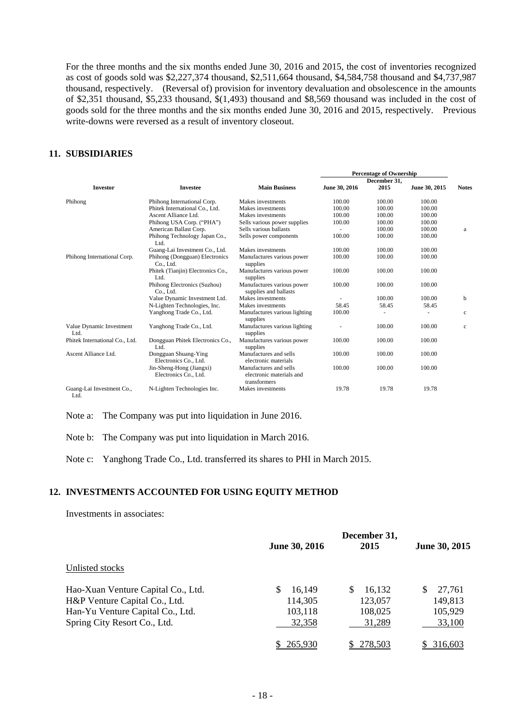For the three months and the six months ended June 30, 2016 and 2015, the cost of inventories recognized as cost of goods sold was \$2,227,374 thousand, \$2,511,664 thousand, \$4,584,758 thousand and \$4,737,987 thousand, respectively. (Reversal of) provision for inventory devaluation and obsolescence in the amounts of \$2,351 thousand, \$5,233 thousand, \$(1,493) thousand and \$8,569 thousand was included in the cost of goods sold for the three months and the six months ended June 30, 2016 and 2015, respectively. Previous write-downs were reversed as a result of inventory closeout.

#### **11. SUBSIDIARIES**

|                                   |                                                   |                                                                    |               | <b>Percentage of Ownership</b> |               |              |
|-----------------------------------|---------------------------------------------------|--------------------------------------------------------------------|---------------|--------------------------------|---------------|--------------|
|                                   |                                                   |                                                                    |               | December 31.                   |               |              |
| <b>Investor</b>                   | <b>Investee</b>                                   | <b>Main Business</b>                                               | June 30, 2016 | 2015                           | June 30, 2015 | <b>Notes</b> |
| Phihong                           | Phihong International Corp.                       | Makes investments                                                  | 100.00        | 100.00                         | 100.00        |              |
|                                   | Phitek International Co., Ltd.                    | Makes investments                                                  | 100.00        | 100.00                         | 100.00        |              |
|                                   | Ascent Alliance Ltd.                              | Makes investments                                                  | 100.00        | 100.00                         | 100.00        |              |
|                                   | Phihong USA Corp. ("PHA")                         | Sells various power supplies                                       | 100.00        | 100.00                         | 100.00        |              |
|                                   | American Ballast Corp.                            | Sells various ballasts                                             |               | 100.00                         | 100.00        | a            |
|                                   | Phihong Technology Japan Co.,<br>Ltd.             | Sells power components                                             | 100.00        | 100.00                         | 100.00        |              |
|                                   | Guang-Lai Investment Co., Ltd.                    | Makes investments                                                  | 100.00        | 100.00                         | 100.00        |              |
| Phihong International Corp.       | Phihong (Dongguan) Electronics<br>Co., Ltd.       | Manufactures various power<br>supplies                             | 100.00        | 100.00                         | 100.00        |              |
|                                   | Phitek (Tianjin) Electronics Co.,<br>Ltd.         | Manufactures various power<br>supplies                             | 100.00        | 100.00                         | 100.00        |              |
|                                   | Phihong Electronics (Suzhou)<br>Co., Ltd.         | Manufactures various power<br>supplies and ballasts                | 100.00        | 100.00                         | 100.00        |              |
|                                   | Value Dynamic Investment Ltd.                     | Makes investments                                                  |               | 100.00                         | 100.00        | b            |
|                                   | N-Lighten Technologies, Inc.                      | Makes investments                                                  | 58.45         | 58.45                          | 58.45         |              |
|                                   | Yanghong Trade Co., Ltd.                          | Manufactures various lighting<br>supplies                          | 100.00        |                                |               | $\mathbf{c}$ |
| Value Dynamic Investment<br>Ltd.  | Yanghong Trade Co., Ltd.                          | Manufactures various lighting<br>supplies                          |               | 100.00                         | 100.00        | $\mathbf{c}$ |
| Phitek International Co., Ltd.    | Dongguan Phitek Electronics Co.,<br>Ltd.          | Manufactures various power<br>supplies                             | 100.00        | 100.00                         | 100.00        |              |
| Ascent Alliance Ltd.              | Dongguan Shuang-Ying<br>Electronics Co., Ltd.     | Manufactures and sells<br>electronic materials                     | 100.00        | 100.00                         | 100.00        |              |
|                                   | Jin-Sheng-Hong (Jiangxi)<br>Electronics Co., Ltd. | Manufactures and sells<br>electronic materials and<br>transformers | 100.00        | 100.00                         | 100.00        |              |
| Guang-Lai Investment Co.,<br>Ltd. | N-Lighten Technologies Inc.                       | Makes investments                                                  | 19.78         | 19.78                          | 19.78         |              |

Note a: The Company was put into liquidation in June 2016.

Note b: The Company was put into liquidation in March 2016.

Note c: Yanghong Trade Co., Ltd. transferred its shares to PHI in March 2015.

# **12. INVESTMENTS ACCOUNTED FOR USING EQUITY METHOD**

Investments in associates:

|                                    | <b>June 30, 2016</b> | December 31,<br>2015 | June 30, 2015 |
|------------------------------------|----------------------|----------------------|---------------|
| Unlisted stocks                    |                      |                      |               |
| Hao-Xuan Venture Capital Co., Ltd. | 16,149<br>S          | 16,132<br>S          | 27,761<br>S   |
| H&P Venture Capital Co., Ltd.      | 114,305              | 123,057              | 149,813       |
| Han-Yu Venture Capital Co., Ltd.   | 103,118              | 108,025              | 105,929       |
| Spring City Resort Co., Ltd.       | 32,358               | 31,289               | 33,100        |
|                                    | 265.930              | 278.503              | 316.603       |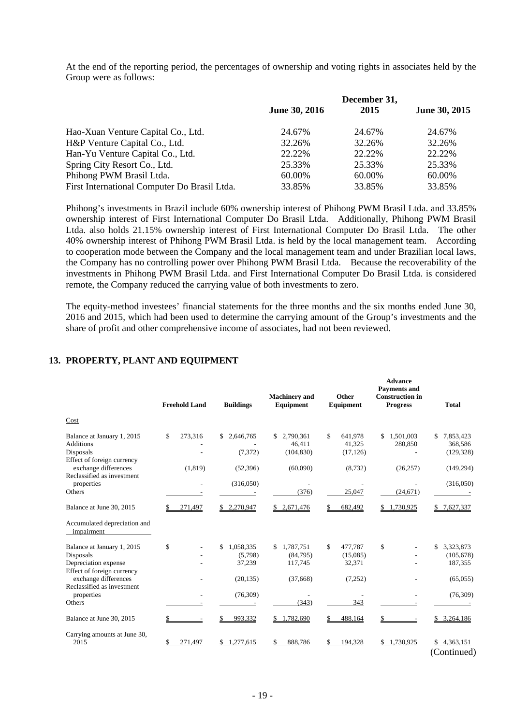At the end of the reporting period, the percentages of ownership and voting rights in associates held by the Group were as follows:

|                                              |                      | December 31, |               |  |
|----------------------------------------------|----------------------|--------------|---------------|--|
|                                              | <b>June 30, 2016</b> | 2015         | June 30, 2015 |  |
| Hao-Xuan Venture Capital Co., Ltd.           | 24.67%               | 24.67%       | 24.67%        |  |
| H&P Venture Capital Co., Ltd.                | 32.26%               | 32.26%       | 32.26%        |  |
| Han-Yu Venture Capital Co., Ltd.             | 22.22%               | 22.22%       | 22.22%        |  |
| Spring City Resort Co., Ltd.                 | 25.33%               | 25.33%       | 25.33%        |  |
| Phihong PWM Brasil Ltda.                     | 60.00%               | 60.00%       | 60.00%        |  |
| First International Computer Do Brasil Ltda. | 33.85%               | 33.85%       | 33.85%        |  |

Phihong's investments in Brazil include 60% ownership interest of Phihong PWM Brasil Ltda. and 33.85% ownership interest of First International Computer Do Brasil Ltda. Additionally, Phihong PWM Brasil Ltda. also holds 21.15% ownership interest of First International Computer Do Brasil Ltda. The other 40% ownership interest of Phihong PWM Brasil Ltda. is held by the local management team. According to cooperation mode between the Company and the local management team and under Brazilian local laws, the Company has no controlling power over Phihong PWM Brasil Ltda. Because the recoverability of the investments in Phihong PWM Brasil Ltda. and First International Computer Do Brasil Ltda. is considered remote, the Company reduced the carrying value of both investments to zero.

The equity-method investees' financial statements for the three months and the six months ended June 30, 2016 and 2015, which had been used to determine the carrying amount of the Group's investments and the share of profit and other comprehensive income of associates, had not been reviewed.

**Advance** 

|                                                                                                                       | <b>Freehold Land</b> | <b>Buildings</b>                                  | <b>Machinery</b> and<br>Equipment                  | <b>Other</b><br>Equipment                      | <b>Payments and</b><br><b>Construction</b> in<br><b>Progress</b> | <b>Total</b>                                         |
|-----------------------------------------------------------------------------------------------------------------------|----------------------|---------------------------------------------------|----------------------------------------------------|------------------------------------------------|------------------------------------------------------------------|------------------------------------------------------|
| Cost                                                                                                                  |                      |                                                   |                                                    |                                                |                                                                  |                                                      |
| Balance at January 1, 2015<br><b>Additions</b><br>Disposals<br>Effect of foreign currency                             | \$<br>273,316        | 2,646,765<br>S<br>(7, 372)                        | 2,790,361<br>46,411<br>(104, 830)                  | \$<br>641,978<br>41,325<br>(17, 126)           | 1,501,003<br>\$<br>280,850                                       | 7,853,423<br>\$<br>368,586<br>(129, 328)             |
| exchange differences<br>Reclassified as investment                                                                    | (1, 819)             | (52, 396)                                         | (60,090)                                           | (8, 732)                                       | (26, 257)                                                        | (149, 294)                                           |
| properties<br>Others                                                                                                  |                      | (316,050)                                         | (376)                                              | 25.047                                         | (24, 671)                                                        | (316,050)                                            |
| Balance at June 30, 2015                                                                                              | 271,497              | \$2,270,947                                       | \$2,671,476                                        | 682,492                                        | ,730,925                                                         | 7,627,337<br>S.                                      |
| Accumulated depreciation and<br>impairment                                                                            |                      |                                                   |                                                    |                                                |                                                                  |                                                      |
| Balance at January 1, 2015<br>Disposals<br>Depreciation expense<br>Effect of foreign currency<br>exchange differences | \$                   | \$<br>1,058,335<br>(5,798)<br>37,239<br>(20, 135) | 1,787,751<br>\$<br>(84,795)<br>117,745<br>(37,668) | \$<br>477,787<br>(15,085)<br>32,371<br>(7,252) | \$                                                               | \$<br>3,323,873<br>(105, 678)<br>187,355<br>(65,055) |
| Reclassified as investment<br>properties<br>Others                                                                    |                      | (76,309)                                          | (343)                                              | 343                                            |                                                                  | (76,309)                                             |
| Balance at June 30, 2015                                                                                              |                      | 993,332                                           | 1,782,690<br>\$                                    | 488,164                                        |                                                                  | 3,264,186                                            |
| Carrying amounts at June 30,<br>2015                                                                                  | 271,497              | ,277,615                                          | 888,786                                            | 194.328                                        | 1,730,925                                                        | 4,363,151<br>(Continued)                             |

### **13. PROPERTY, PLANT AND EQUIPMENT**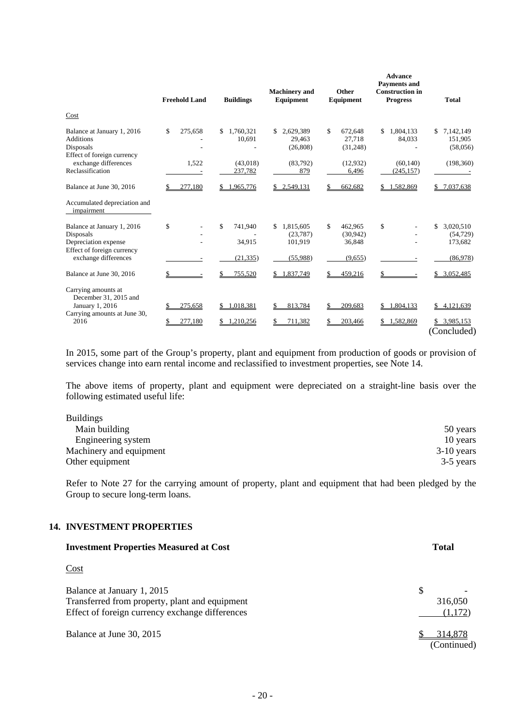|                                                                                               | <b>Freehold Land</b> | <b>Buildings</b>          | <b>Machinery</b> and<br>Equipment       | <b>Other</b><br>Equipment           | <b>Advance</b><br><b>Payments and</b><br><b>Construction in</b><br><b>Progress</b> | <b>Total</b>                            |
|-----------------------------------------------------------------------------------------------|----------------------|---------------------------|-----------------------------------------|-------------------------------------|------------------------------------------------------------------------------------|-----------------------------------------|
| Cost                                                                                          |                      |                           |                                         |                                     |                                                                                    |                                         |
| Balance at January 1, 2016<br><b>Additions</b><br>Disposals<br>Effect of foreign currency     | \$.<br>275,658       | 1,760,321<br>\$<br>10,691 | 2,629,389<br>29,463<br>(26, 808)        | \$<br>672,648<br>27,718<br>(31,248) | \$<br>1,804,133<br>84,033                                                          | 7,142,149<br>\$<br>151,905<br>(58,056)  |
| exchange differences<br>Reclassification                                                      | 1,522                | (43,018)<br>237,782       | (83,792)<br>879                         | (12,932)<br>6,496                   | (60, 140)<br>(245, 157)                                                            | (198, 360)                              |
| Balance at June 30, 2016                                                                      | 277,180              | 1,965,776                 | \$2,549,131                             | 662,682                             | 1,582,869                                                                          | 7,037,638                               |
| Accumulated depreciation and<br>impairment                                                    |                      |                           |                                         |                                     |                                                                                    |                                         |
| Balance at January 1, 2016<br>Disposals<br>Depreciation expense<br>Effect of foreign currency | \$                   | \$<br>741,940<br>34,915   | 1,815,605<br>\$<br>(23, 787)<br>101,919 | \$<br>462,965<br>(30,942)<br>36,848 | \$                                                                                 | \$<br>3,020,510<br>(54, 729)<br>173,682 |
| exchange differences                                                                          |                      | (21, 335)                 | (55,988)                                | (9,655)                             |                                                                                    | (86,978)                                |
| Balance at June 30, 2016                                                                      |                      | 755,520                   | \$1,837,749                             | 459,216                             |                                                                                    | 3,052,485                               |
| Carrying amounts at<br>December 31, 2015 and<br>January 1, 2016                               | 275,658              | 1,018,381<br>\$           | 813,784                                 | 209,683                             | 1,804,133                                                                          | 4,121,639<br>\$                         |
| Carrying amounts at June 30,<br>2016                                                          | 277,180              | 1.210,256<br>S            | 711,382                                 | 203,466                             | 1,582,869                                                                          | 3,985,153<br>\$.<br>(Concluded)         |

In 2015, some part of the Group's property, plant and equipment from production of goods or provision of services change into earn rental income and reclassified to investment properties, see Note 14.

The above items of property, plant and equipment were depreciated on a straight-line basis over the following estimated useful life:

| <b>Buildings</b>        |              |
|-------------------------|--------------|
| Main building           | 50 years     |
| Engineering system      | 10 years     |
| Machinery and equipment | $3-10$ years |
| Other equipment         | 3-5 years    |

Refer to Note 27 for the carrying amount of property, plant and equipment that had been pledged by the Group to secure long-term loans.

### **14. INVESTMENT PROPERTIES**

| <b>Investment Properties Measured at Cost</b>                                                                                   | <b>Total</b>            |
|---------------------------------------------------------------------------------------------------------------------------------|-------------------------|
| Cost                                                                                                                            |                         |
| Balance at January 1, 2015<br>Transferred from property, plant and equipment<br>Effect of foreign currency exchange differences | S<br>316,050<br>(1,172) |
| Balance at June 30, 2015                                                                                                        | 314.878<br>(Continued)  |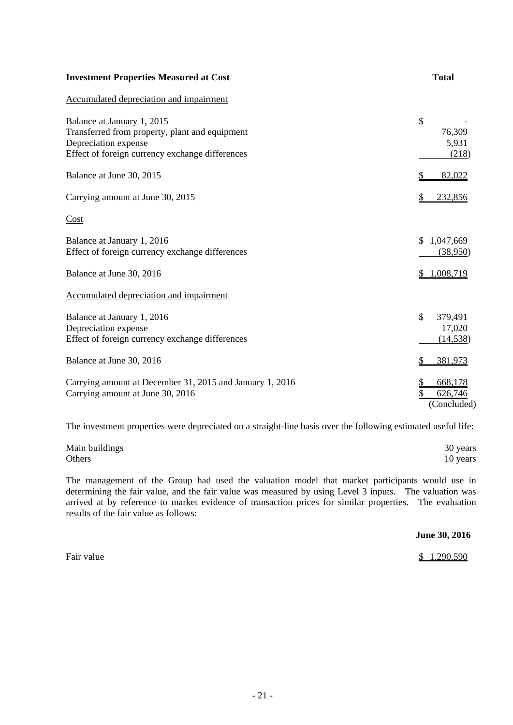| <b>Investment Properties Measured at Cost</b>                                                                                                           | <b>Total</b>                            |
|---------------------------------------------------------------------------------------------------------------------------------------------------------|-----------------------------------------|
| Accumulated depreciation and impairment                                                                                                                 |                                         |
| Balance at January 1, 2015<br>Transferred from property, plant and equipment<br>Depreciation expense<br>Effect of foreign currency exchange differences | \$<br>76,309<br>5,931<br>(218)          |
| Balance at June 30, 2015                                                                                                                                | 82,022                                  |
| Carrying amount at June 30, 2015                                                                                                                        | \$<br>232,856                           |
| Cost                                                                                                                                                    |                                         |
| Balance at January 1, 2016<br>Effect of foreign currency exchange differences                                                                           | 1,047,669<br>\$<br>(38,950)             |
| Balance at June 30, 2016                                                                                                                                | 1,008,719                               |
| Accumulated depreciation and impairment                                                                                                                 |                                         |
| Balance at January 1, 2016<br>Depreciation expense<br>Effect of foreign currency exchange differences                                                   | \$<br>379,491<br>17,020<br>(14, 538)    |
| Balance at June 30, 2016                                                                                                                                | \$<br>381,973                           |
| Carrying amount at December 31, 2015 and January 1, 2016<br>Carrying amount at June 30, 2016                                                            | 668,178<br>\$<br>626,746<br>(Concluded) |

The investment properties were depreciated on a straight-line basis over the following estimated useful life:

| Main buildings | 30 years |
|----------------|----------|
| Others         | 10 years |

The management of the Group had used the valuation model that market participants would use in determining the fair value, and the fair value was measured by using Level 3 inputs. The valuation was arrived at by reference to market evidence of transaction prices for similar properties. The evaluation results of the fair value as follows:

|            | June 30, 2016 |
|------------|---------------|
| Fair value | \$1,290,590   |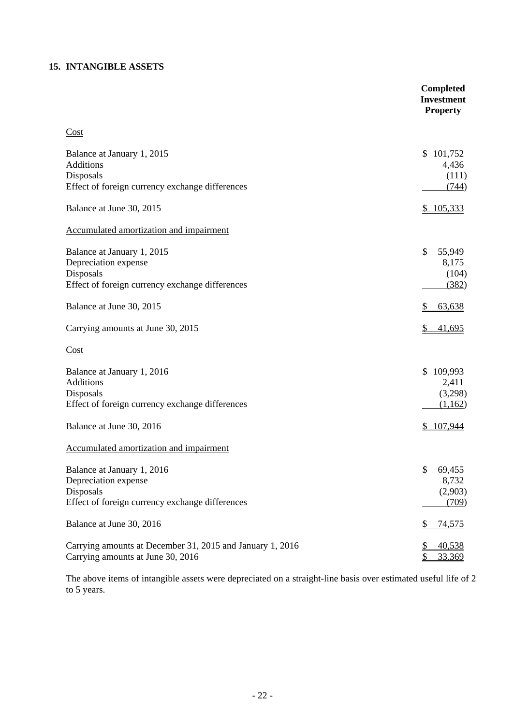# **15. INTANGIBLE ASSETS**

|                                                                                                                    | <b>Completed</b><br><b>Investment</b><br><b>Property</b> |
|--------------------------------------------------------------------------------------------------------------------|----------------------------------------------------------|
| Cost                                                                                                               |                                                          |
| Balance at January 1, 2015<br>Additions<br>Disposals<br>Effect of foreign currency exchange differences            | 101,752<br>\$<br>4,436<br>(111)<br>(744)                 |
| Balance at June 30, 2015                                                                                           | 105,333<br>\$                                            |
| Accumulated amortization and impairment                                                                            |                                                          |
| Balance at January 1, 2015<br>Depreciation expense<br>Disposals<br>Effect of foreign currency exchange differences | \$<br>55,949<br>8,175<br>(104)<br>(382)                  |
| Balance at June 30, 2015                                                                                           | 63,638                                                   |
| Carrying amounts at June 30, 2015                                                                                  | \$<br>41,695                                             |
| Cost                                                                                                               |                                                          |
| Balance at January 1, 2016<br>Additions<br>Disposals<br>Effect of foreign currency exchange differences            | 109,993<br>\$<br>2,411<br>(3,298)<br>(1,162)             |
| Balance at June 30, 2016                                                                                           | \$107,944                                                |
| Accumulated amortization and impairment                                                                            |                                                          |
| Balance at January 1, 2016<br>Depreciation expense<br>Disposals<br>Effect of foreign currency exchange differences | \$69,455<br>8,732<br>(2,903)<br>(709)                    |
| Balance at June 30, 2016                                                                                           | <u>\$</u><br><u>74,575</u>                               |
| Carrying amounts at December 31, 2015 and January 1, 2016<br>Carrying amounts at June 30, 2016                     | 40,538<br>33,369<br>\$                                   |

The above items of intangible assets were depreciated on a straight-line basis over estimated useful life of 2 to 5 years.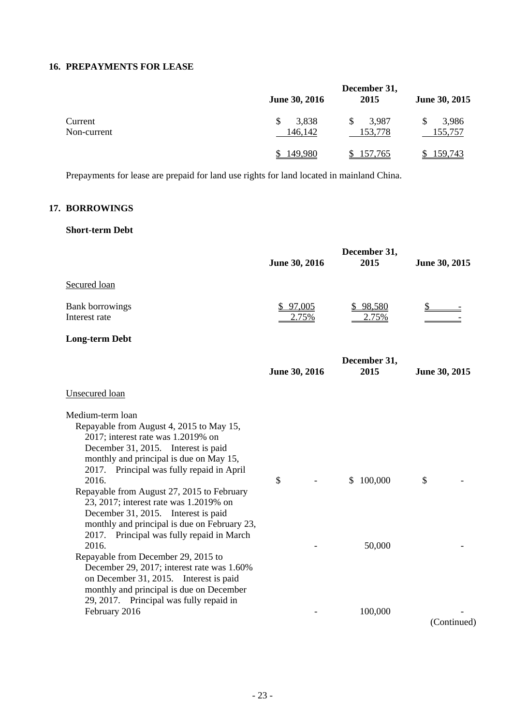# **16. PREPAYMENTS FOR LEASE**

|                        |                      | December 31,     |                  |  |
|------------------------|----------------------|------------------|------------------|--|
|                        | <b>June 30, 2016</b> | 2015             | June 30, 2015    |  |
| Current<br>Non-current | 3,838<br>146,142     | 3,987<br>153,778 | 3,986<br>155,757 |  |
|                        | 149.980              | \$157,765        | 159,743          |  |

Prepayments for lease are prepaid for land use rights for land located in mainland China.

# **17. BORROWINGS**

## **Short-term Debt**

|                                                                                                                                                                                                                                                                                                                                                                                                                                                                                                                           | June 30, 2016     | December 31,<br>2015    | June 30, 2015 |
|---------------------------------------------------------------------------------------------------------------------------------------------------------------------------------------------------------------------------------------------------------------------------------------------------------------------------------------------------------------------------------------------------------------------------------------------------------------------------------------------------------------------------|-------------------|-------------------------|---------------|
| Secured loan                                                                                                                                                                                                                                                                                                                                                                                                                                                                                                              |                   |                         |               |
| <b>Bank borrowings</b><br>Interest rate                                                                                                                                                                                                                                                                                                                                                                                                                                                                                   | \$97,005<br>2.75% | \$98,580<br>2.75%       |               |
| <b>Long-term Debt</b>                                                                                                                                                                                                                                                                                                                                                                                                                                                                                                     |                   |                         |               |
|                                                                                                                                                                                                                                                                                                                                                                                                                                                                                                                           | June 30, 2016     | December 31,<br>2015    | June 30, 2015 |
| <b>Unsecured</b> loan                                                                                                                                                                                                                                                                                                                                                                                                                                                                                                     |                   |                         |               |
| Medium-term loan<br>Repayable from August 4, 2015 to May 15,<br>$2017$ ; interest rate was 1.2019% on<br>December 31, 2015. Interest is paid<br>monthly and principal is due on May 15,<br>2017. Principal was fully repaid in April<br>2016.<br>Repayable from August 27, 2015 to February<br>23, 2017; interest rate was 1.2019% on<br>December 31, 2015. Interest is paid<br>monthly and principal is due on February 23,<br>2017. Principal was fully repaid in March<br>2016.<br>Repayable from December 29, 2015 to | \$                | 100,000<br>\$<br>50,000 | $\mathcal{S}$ |
| December 29, 2017; interest rate was 1.60%<br>on December 31, 2015. Interest is paid<br>monthly and principal is due on December<br>29, 2017. Principal was fully repaid in<br>February 2016                                                                                                                                                                                                                                                                                                                              |                   | 100,000                 | (Continued)   |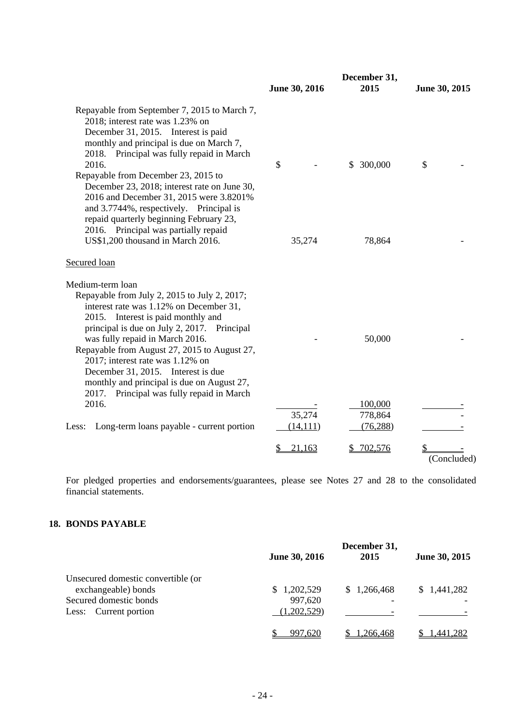|                                                                                                                                                                                                                                                                                                                                                                                                             | June 30, 2016       | December 31,<br>2015            | June 30, 2015 |
|-------------------------------------------------------------------------------------------------------------------------------------------------------------------------------------------------------------------------------------------------------------------------------------------------------------------------------------------------------------------------------------------------------------|---------------------|---------------------------------|---------------|
| Repayable from September 7, 2015 to March 7,<br>2018; interest rate was 1.23% on<br>December 31, 2015. Interest is paid<br>monthly and principal is due on March 7,<br>2018. Principal was fully repaid in March<br>2016.<br>Repayable from December 23, 2015 to<br>December 23, 2018; interest rate on June 30,<br>2016 and December 31, 2015 were 3.8201%<br>and 3.7744%, respectively. Principal is      | \$                  | \$ 300,000                      | \$            |
| repaid quarterly beginning February 23,<br>2016. Principal was partially repaid<br>US\$1,200 thousand in March 2016.                                                                                                                                                                                                                                                                                        | 35,274              | 78,864                          |               |
| Secured loan                                                                                                                                                                                                                                                                                                                                                                                                |                     |                                 |               |
| Medium-term loan<br>Repayable from July 2, 2015 to July 2, 2017;<br>interest rate was 1.12% on December 31,<br>2015. Interest is paid monthly and<br>principal is due on July 2, 2017. Principal<br>was fully repaid in March 2016.<br>Repayable from August 27, 2015 to August 27,<br>2017; interest rate was 1.12% on<br>December 31, 2015. Interest is due<br>monthly and principal is due on August 27, |                     | 50,000                          |               |
| 2017. Principal was fully repaid in March<br>2016.<br>Long-term loans payable - current portion<br>Less:                                                                                                                                                                                                                                                                                                    | 35,274<br>(14, 111) | 100,000<br>778,864<br>(76, 288) |               |
|                                                                                                                                                                                                                                                                                                                                                                                                             | \$<br>21,163        | 702,576                         | (Concluded)   |

For pledged properties and endorsements/guarantees, please see Notes 27 and 28 to the consolidated financial statements.

# **18. BONDS PAYABLE**

|                                    | December 31,         |                          |               |  |
|------------------------------------|----------------------|--------------------------|---------------|--|
|                                    | <b>June 30, 2016</b> | 2015                     | June 30, 2015 |  |
| Unsecured domestic convertible (or |                      |                          |               |  |
| exchangeable) bonds                | \$1,202,529          | \$1,266,468              | \$1,441,282   |  |
| Secured domestic bonds             | 997,620              | $\overline{\phantom{a}}$ |               |  |
| Current portion<br>Less:           | (1,202,529)          |                          |               |  |
|                                    | 997,620              | .266.468                 | 1.441.282     |  |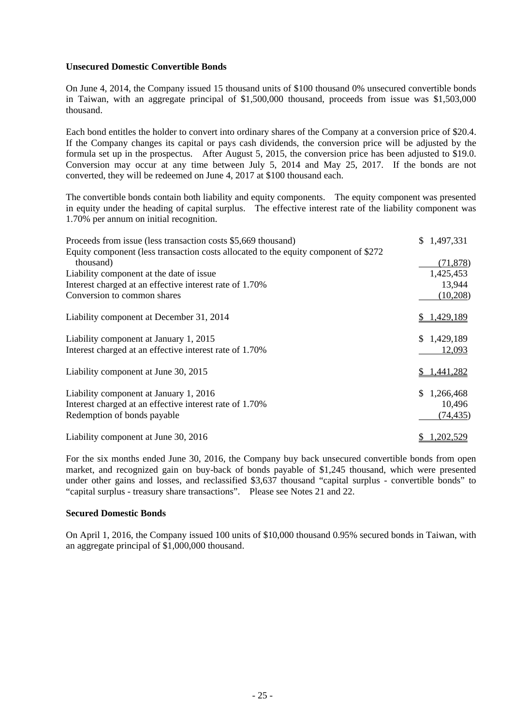#### **Unsecured Domestic Convertible Bonds**

On June 4, 2014, the Company issued 15 thousand units of \$100 thousand 0% unsecured convertible bonds in Taiwan, with an aggregate principal of \$1,500,000 thousand, proceeds from issue was \$1,503,000 thousand.

Each bond entitles the holder to convert into ordinary shares of the Company at a conversion price of \$20.4. If the Company changes its capital or pays cash dividends, the conversion price will be adjusted by the formula set up in the prospectus. After August 5, 2015, the conversion price has been adjusted to \$19.0. Conversion may occur at any time between July 5, 2014 and May 25, 2017. If the bonds are not converted, they will be redeemed on June 4, 2017 at \$100 thousand each.

The convertible bonds contain both liability and equity components. The equity component was presented in equity under the heading of capital surplus. The effective interest rate of the liability component was 1.70% per annum on initial recognition.

| Proceeds from issue (less transaction costs \$5,669 thousand)                       | \$1,497,331     |
|-------------------------------------------------------------------------------------|-----------------|
| Equity component (less transaction costs allocated to the equity component of \$272 |                 |
| thousand)                                                                           | (71, 878)       |
| Liability component at the date of issue.                                           | 1,425,453       |
| Interest charged at an effective interest rate of 1.70%                             | 13,944          |
| Conversion to common shares                                                         | (10,208)        |
| Liability component at December 31, 2014                                            | \$1,429,189     |
| Liability component at January 1, 2015                                              | \$1,429,189     |
| Interest charged at an effective interest rate of 1.70%                             | 12,093          |
| Liability component at June 30, 2015                                                | 1,441,282       |
| Liability component at January 1, 2016                                              | 1,266,468<br>S. |
| Interest charged at an effective interest rate of 1.70%                             | 10,496          |
| Redemption of bonds payable                                                         | (74, 435)       |
| Liability component at June 30, 2016                                                | 1,202,529       |

For the six months ended June 30, 2016, the Company buy back unsecured convertible bonds from open market, and recognized gain on buy-back of bonds payable of \$1,245 thousand, which were presented under other gains and losses, and reclassified \$3,637 thousand "capital surplus - convertible bonds" to "capital surplus - treasury share transactions". Please see Notes 21 and 22.

#### **Secured Domestic Bonds**

On April 1, 2016, the Company issued 100 units of \$10,000 thousand 0.95% secured bonds in Taiwan, with an aggregate principal of \$1,000,000 thousand.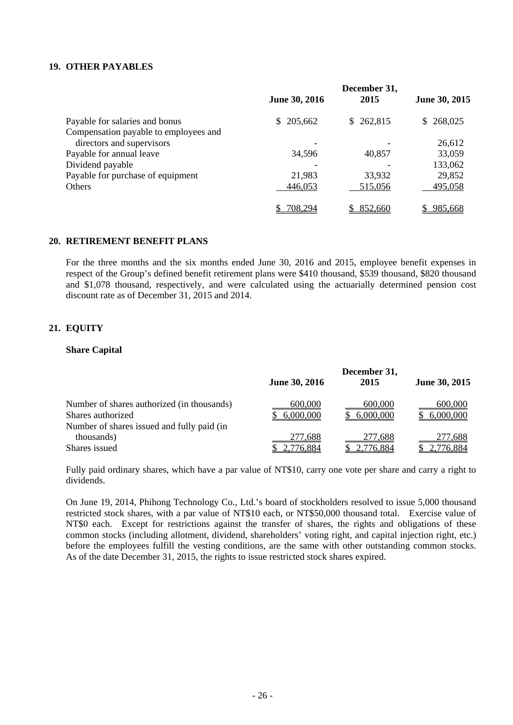#### **19. OTHER PAYABLES**

|                                       | <b>June 30, 2016</b> | December 31,<br>2015 | June 30, 2015 |
|---------------------------------------|----------------------|----------------------|---------------|
| Payable for salaries and bonus        | 205,662<br>S.        | \$262,815            | 268,025<br>S. |
| Compensation payable to employees and |                      |                      |               |
| directors and supervisors             |                      |                      | 26,612        |
| Payable for annual leave              | 34,596               | 40,857               | 33,059        |
| Dividend payable                      |                      |                      | 133,062       |
| Payable for purchase of equipment     | 21,983               | 33,932               | 29,852        |
| Others                                | 446,053              | 515,056              | 495,058       |
|                                       | 708,294              | 852,660              | 985.668       |

## **20. RETIREMENT BENEFIT PLANS**

For the three months and the six months ended June 30, 2016 and 2015, employee benefit expenses in respect of the Group's defined benefit retirement plans were \$410 thousand, \$539 thousand, \$820 thousand and \$1,078 thousand, respectively, and were calculated using the actuarially determined pension cost discount rate as of December 31, 2015 and 2014.

# **21. EQUITY**

#### **Share Capital**

|                                            | June 30, 2016 | December 31,<br>2015 | June 30, 2015 |
|--------------------------------------------|---------------|----------------------|---------------|
| Number of shares authorized (in thousands) | 600,000       | 600,000              | 600,000       |
| Shares authorized                          | 6,000,000     | 6,000,000            | 6,000,000     |
| Number of shares issued and fully paid (in |               |                      |               |
| thousands)                                 | 277,688       | 277,688              | 277,688       |
| Shares issued                              | .776,884      | 776,884              | 76,884        |

Fully paid ordinary shares, which have a par value of NT\$10, carry one vote per share and carry a right to dividends.

On June 19, 2014, Phihong Technology Co., Ltd.'s board of stockholders resolved to issue 5,000 thousand restricted stock shares, with a par value of NT\$10 each, or NT\$50,000 thousand total. Exercise value of NT\$0 each. Except for restrictions against the transfer of shares, the rights and obligations of these common stocks (including allotment, dividend, shareholders' voting right, and capital injection right, etc.) before the employees fulfill the vesting conditions, are the same with other outstanding common stocks. As of the date December 31, 2015, the rights to issue restricted stock shares expired.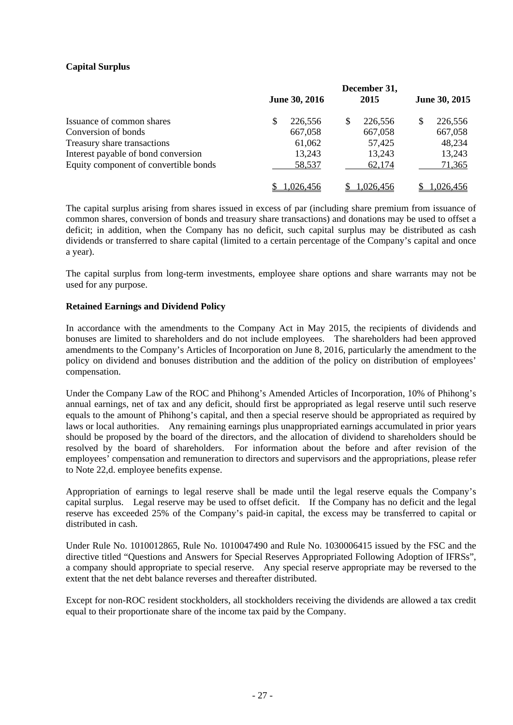# **Capital Surplus**

|                                       | December 31, |                      |     |           |   |               |
|---------------------------------------|--------------|----------------------|-----|-----------|---|---------------|
|                                       |              | <b>June 30, 2016</b> |     | 2015      |   | June 30, 2015 |
| Issuance of common shares             | \$           | 226,556              | \$. | 226,556   | S | 226,556       |
| Conversion of bonds                   |              | 667,058              |     | 667,058   |   | 667,058       |
| Treasury share transactions           |              | 61,062               |     | 57,425    |   | 48,234        |
| Interest payable of bond conversion   |              | 13,243               |     | 13,243    |   | 13,243        |
| Equity component of convertible bonds |              | 58,537               |     | 62,174    |   | 71,365        |
|                                       |              | ,026,456             |     | 1,026,456 |   | 1,026,456     |

The capital surplus arising from shares issued in excess of par (including share premium from issuance of common shares, conversion of bonds and treasury share transactions) and donations may be used to offset a deficit; in addition, when the Company has no deficit, such capital surplus may be distributed as cash dividends or transferred to share capital (limited to a certain percentage of the Company's capital and once a year).

The capital surplus from long-term investments, employee share options and share warrants may not be used for any purpose.

### **Retained Earnings and Dividend Policy**

In accordance with the amendments to the Company Act in May 2015, the recipients of dividends and bonuses are limited to shareholders and do not include employees. The shareholders had been approved amendments to the Company's Articles of Incorporation on June 8, 2016, particularly the amendment to the policy on dividend and bonuses distribution and the addition of the policy on distribution of employees' compensation.

Under the Company Law of the ROC and Phihong's Amended Articles of Incorporation, 10% of Phihong's annual earnings, net of tax and any deficit, should first be appropriated as legal reserve until such reserve equals to the amount of Phihong's capital, and then a special reserve should be appropriated as required by laws or local authorities. Any remaining earnings plus unappropriated earnings accumulated in prior years should be proposed by the board of the directors, and the allocation of dividend to shareholders should be resolved by the board of shareholders. For information about the before and after revision of the employees' compensation and remuneration to directors and supervisors and the appropriations, please refer to Note 22,d. employee benefits expense.

Appropriation of earnings to legal reserve shall be made until the legal reserve equals the Company's capital surplus. Legal reserve may be used to offset deficit. If the Company has no deficit and the legal reserve has exceeded 25% of the Company's paid-in capital, the excess may be transferred to capital or distributed in cash.

Under Rule No. 1010012865, Rule No. 1010047490 and Rule No. 1030006415 issued by the FSC and the directive titled "Questions and Answers for Special Reserves Appropriated Following Adoption of IFRSs", a company should appropriate to special reserve. Any special reserve appropriate may be reversed to the extent that the net debt balance reverses and thereafter distributed.

Except for non-ROC resident stockholders, all stockholders receiving the dividends are allowed a tax credit equal to their proportionate share of the income tax paid by the Company.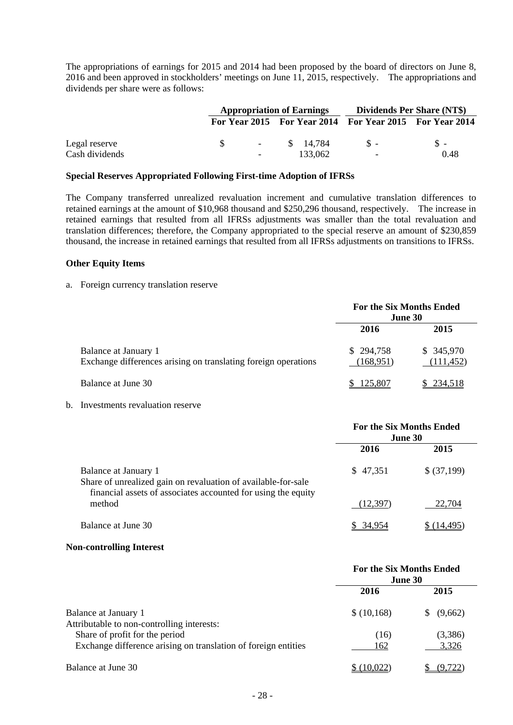The appropriations of earnings for 2015 and 2014 had been proposed by the board of directors on June 8, 2016 and been approved in stockholders' meetings on June 11, 2015, respectively. The appropriations and dividends per share were as follows:

|                |                       | <b>Appropriation of Earnings</b>                        | Dividends Per Share (NT\$) |       |
|----------------|-----------------------|---------------------------------------------------------|----------------------------|-------|
|                |                       | For Year 2015 For Year 2014 For Year 2015 For Year 2014 |                            |       |
| Legal reserve  | -SS<br><b>Service</b> | \$ 14.784                                               | $S -$                      | $S -$ |
| Cash dividends | $\sim$                | 133.062                                                 | $\overline{\phantom{a}}$   | 0.48  |

#### **Special Reserves Appropriated Following First-time Adoption of IFRSs**

The Company transferred unrealized revaluation increment and cumulative translation differences to retained earnings at the amount of \$10,968 thousand and \$250,296 thousand, respectively. The increase in retained earnings that resulted from all IFRSs adjustments was smaller than the total revaluation and translation differences; therefore, the Company appropriated to the special reserve an amount of \$230,859 thousand, the increase in retained earnings that resulted from all IFRSs adjustments on transitions to IFRSs.

#### **Other Equity Items**

#### a. Foreign currency translation reserve

|                                                                                        | <b>For the Six Months Ended</b><br><b>June 30</b> |                         |  |
|----------------------------------------------------------------------------------------|---------------------------------------------------|-------------------------|--|
|                                                                                        | 2016                                              | 2015                    |  |
| Balance at January 1<br>Exchange differences arising on translating foreign operations | \$294,758<br>(168,951)                            | \$345,970<br>(111, 452) |  |
| Balance at June 30                                                                     | 125,807                                           | \$234,518               |  |

#### b. Investments revaluation reserve

|                                                                                                                                                        | <b>For the Six Months Ended</b><br><b>June 30</b> |             |  |
|--------------------------------------------------------------------------------------------------------------------------------------------------------|---------------------------------------------------|-------------|--|
|                                                                                                                                                        | 2016                                              | 2015        |  |
| Balance at January 1<br>Share of unrealized gain on revaluation of available-for-sale<br>financial assets of associates accounted for using the equity | \$47,351                                          | \$ (37,199) |  |
| method                                                                                                                                                 | (12, 397)                                         | 22.704      |  |
| Balance at June 30                                                                                                                                     | \$ 34.954                                         | 14.495      |  |

#### **Non-controlling Interest**

|                                                                    | <b>For the Six Months Ended</b><br>June 30 |              |  |
|--------------------------------------------------------------------|--------------------------------------------|--------------|--|
|                                                                    | 2016                                       | 2015         |  |
| Balance at January 1<br>Attributable to non-controlling interests: | \$(10,168)                                 | (9,662)<br>S |  |
| Share of profit for the period                                     | (16)                                       | (3,386)      |  |
| Exchange difference arising on translation of foreign entities     | 162                                        | 3,326        |  |
| Balance at June 30                                                 | (10,022)                                   | (9,722       |  |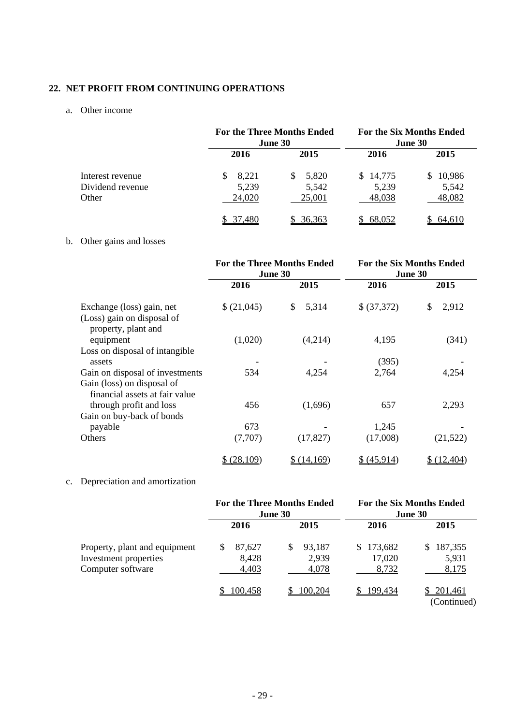# **22. NET PROFIT FROM CONTINUING OPERATIONS**

# a. Other income

|                  |        | <b>For the Three Months Ended</b><br><b>June 30</b> |          | <b>For the Six Months Ended</b><br><b>June 30</b> |  |
|------------------|--------|-----------------------------------------------------|----------|---------------------------------------------------|--|
|                  | 2016   | 2015                                                | 2016     | 2015                                              |  |
| Interest revenue | 8,221  | 5,820<br>S.                                         | \$14,775 | 10,986                                            |  |
| Dividend revenue | 5,239  | 5,542                                               | 5,239    | 5,542                                             |  |
| Other            | 24,020 | 25,001                                              | 48,038   | 48,082                                            |  |
|                  | .480   | <u>36,363</u>                                       | 68,052   | 64.610                                            |  |

# b. Other gains and losses

|                                                                                                 | <b>For the Three Months Ended</b><br>June 30 |                        | <b>For the Six Months Ended</b><br>June 30 |                      |
|-------------------------------------------------------------------------------------------------|----------------------------------------------|------------------------|--------------------------------------------|----------------------|
|                                                                                                 | 2016                                         | 2015                   | 2016                                       | 2015                 |
| Exchange (loss) gain, net<br>(Loss) gain on disposal of<br>property, plant and                  | \$(21,045)<br>(1,020)                        | 5,314<br>\$<br>(4,214) | \$ (37,372)<br>4,195                       | \$<br>2,912<br>(341) |
| equipment<br>Loss on disposal of intangible<br>assets                                           |                                              |                        | (395)                                      |                      |
| Gain on disposal of investments<br>Gain (loss) on disposal of<br>financial assets at fair value | 534                                          | 4,254                  | 2,764                                      | 4,254                |
| through profit and loss<br>Gain on buy-back of bonds                                            | 456                                          | (1,696)                | 657                                        | 2,293                |
| payable<br>Others                                                                               | 673<br>(7,707)                               | (17, 827)              | 1,245<br>(17,008)                          | (21, 522)            |
|                                                                                                 | \$ (28,109)                                  | \$(14,169)             | \$ (45,914)                                | \$(12,404)           |

# c. Depreciation and amortization

|                                                                             | <b>For the Three Months Ended</b><br><b>June 30</b> |                                 | <b>For the Six Months Ended</b><br><b>June 30</b> |                                 |
|-----------------------------------------------------------------------------|-----------------------------------------------------|---------------------------------|---------------------------------------------------|---------------------------------|
|                                                                             | 2016                                                | 2015                            | 2016                                              | 2015                            |
| Property, plant and equipment<br>Investment properties<br>Computer software | \$<br>87.627<br>8,428<br>4,403                      | 93,187<br>\$.<br>2,939<br>4,078 | \$173,682<br>17,020<br>8,732                      | 187,355<br>S.<br>5,931<br>8,175 |
|                                                                             | 100,458                                             | 100,204                         | 199.434                                           | 201,461<br>(Continued)          |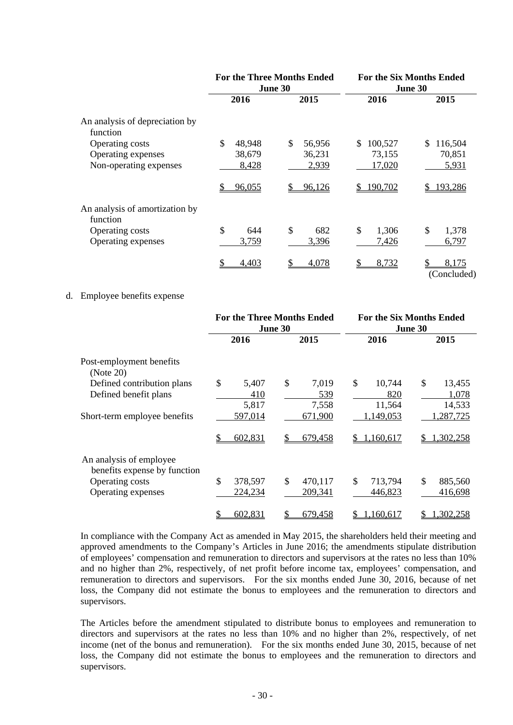|                                            | <b>For the Three Months Ended</b><br>June 30 |              | <b>For the Six Months Ended</b><br>June 30 |                      |
|--------------------------------------------|----------------------------------------------|--------------|--------------------------------------------|----------------------|
|                                            | 2016                                         | 2015         | 2016                                       | 2015                 |
| An analysis of depreciation by<br>function |                                              |              |                                            |                      |
| Operating costs                            | \$<br>48,948                                 | \$<br>56,956 | 100,527<br>S                               | 116,504<br>S         |
| Operating expenses                         | 38,679                                       | 36,231       | 73,155                                     | 70,851               |
| Non-operating expenses                     | 8,428                                        | 2,939        | 17,020                                     | 5,931                |
|                                            | 96,055                                       | 96,126       | <u>190,702</u>                             | 193,286              |
| An analysis of amortization by<br>function |                                              |              |                                            |                      |
| Operating costs                            | \$<br>644                                    | \$<br>682    | \$<br>1,306                                | \$<br>1,378          |
| Operating expenses                         | 3,759                                        | 3,396        | 7,426                                      | 6,797                |
|                                            | 4,403                                        | 4,078        | 8,732                                      | 8,175<br>(Concluded) |

### d. Employee benefits expense

|                                                                                                  | <b>For the Three Months Ended</b><br>June 30 |                             | <b>For the Six Months Ended</b><br><b>June 30</b> |                                 |
|--------------------------------------------------------------------------------------------------|----------------------------------------------|-----------------------------|---------------------------------------------------|---------------------------------|
|                                                                                                  | 2016                                         | 2015                        | 2016                                              | 2015                            |
| Post-employment benefits<br>(Note 20)                                                            |                                              |                             |                                                   |                                 |
| Defined contribution plans<br>Defined benefit plans                                              | \$<br>5,407<br>410<br>5,817                  | \$<br>7,019<br>539<br>7,558 | \$<br>10,744<br>820<br>11,564                     | \$<br>13,455<br>1,078<br>14,533 |
| Short-term employee benefits                                                                     | 597,014<br>602,831                           | 671,900<br>679,458          | 1,149,053<br>1,160,617<br>S.                      | 1,287,725<br>1,302,258          |
| An analysis of employee<br>benefits expense by function<br>Operating costs<br>Operating expenses | \$<br>378,597<br>224,234                     | \$<br>470,117<br>209,341    | \$<br>713,794<br>446,823                          | \$<br>885,560<br>416,698        |
|                                                                                                  | 602,831<br>\$                                | 679,458<br>S                | 1,160,617                                         | 1,302,258                       |

In compliance with the Company Act as amended in May 2015, the shareholders held their meeting and approved amendments to the Company's Articles in June 2016; the amendments stipulate distribution of employees' compensation and remuneration to directors and supervisors at the rates no less than 10% and no higher than 2%, respectively, of net profit before income tax, employees' compensation, and remuneration to directors and supervisors. For the six months ended June 30, 2016, because of net loss, the Company did not estimate the bonus to employees and the remuneration to directors and supervisors.

The Articles before the amendment stipulated to distribute bonus to employees and remuneration to directors and supervisors at the rates no less than 10% and no higher than 2%, respectively, of net income (net of the bonus and remuneration). For the six months ended June 30, 2015, because of net loss, the Company did not estimate the bonus to employees and the remuneration to directors and supervisors.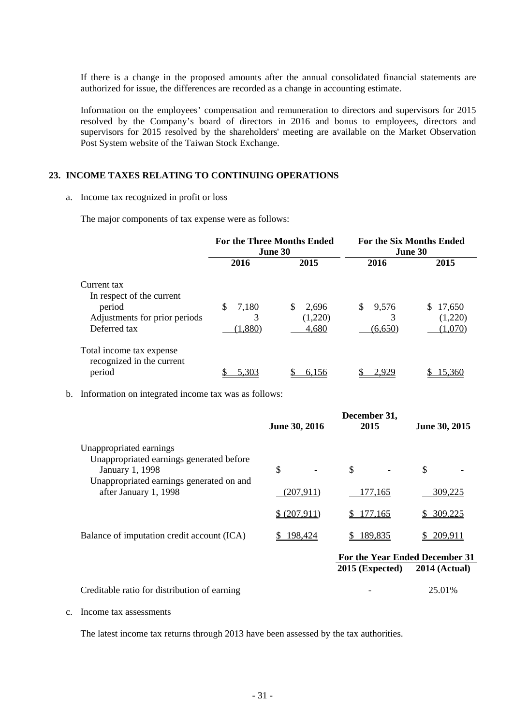If there is a change in the proposed amounts after the annual consolidated financial statements are authorized for issue, the differences are recorded as a change in accounting estimate.

Information on the employees' compensation and remuneration to directors and supervisors for 2015 resolved by the Company's board of directors in 2016 and bonus to employees, directors and supervisors for 2015 resolved by the shareholders' meeting are available on the Market Observation Post System website of the Taiwan Stock Exchange.

## **23. INCOME TAXES RELATING TO CONTINUING OPERATIONS**

#### a. Income tax recognized in profit or loss

The major components of tax expense were as follows:

|                                                       | <b>For the Three Months Ended</b><br>June 30 |             | <b>For the Six Months Ended</b><br>June 30 |              |
|-------------------------------------------------------|----------------------------------------------|-------------|--------------------------------------------|--------------|
|                                                       | 2016                                         | 2015        | 2016                                       | 2015         |
| Current tax                                           |                                              |             |                                            |              |
| In respect of the current                             |                                              |             |                                            |              |
| period                                                | \$<br>7,180                                  | \$<br>2,696 | \$<br>9,576                                | S.<br>17,650 |
| Adjustments for prior periods                         | 3                                            | (1,220)     | 3                                          | (1,220)      |
| Deferred tax                                          | (1,880)                                      | 4,680       | (6,650)                                    | (1,070)      |
| Total income tax expense<br>recognized in the current |                                              |             |                                            |              |
| period                                                | 5.303                                        | 6.156       | 2.929                                      | 15.360       |

b. Information on integrated income tax was as follows:

|                                                                     |               | December 31,                   |                      |
|---------------------------------------------------------------------|---------------|--------------------------------|----------------------|
|                                                                     | June 30, 2016 | 2015                           | June 30, 2015        |
| Unappropriated earnings<br>Unappropriated earnings generated before |               |                                |                      |
| January 1, 1998                                                     | \$            | \$                             | \$                   |
| Unappropriated earnings generated on and<br>after January 1, 1998   | (207, 911)    | 177,165                        | 309,225              |
|                                                                     | \$ (207,911)  | \$177,165                      | 309,225              |
| Balance of imputation credit account (ICA)                          | 198,424       | \$189,835                      | 209,911              |
|                                                                     |               | For the Year Ended December 31 |                      |
|                                                                     |               | $2015$ (Expected)              | <b>2014 (Actual)</b> |
| Creditable ratio for distribution of earning                        |               |                                | 25.01%               |

c. Income tax assessments

The latest income tax returns through 2013 have been assessed by the tax authorities.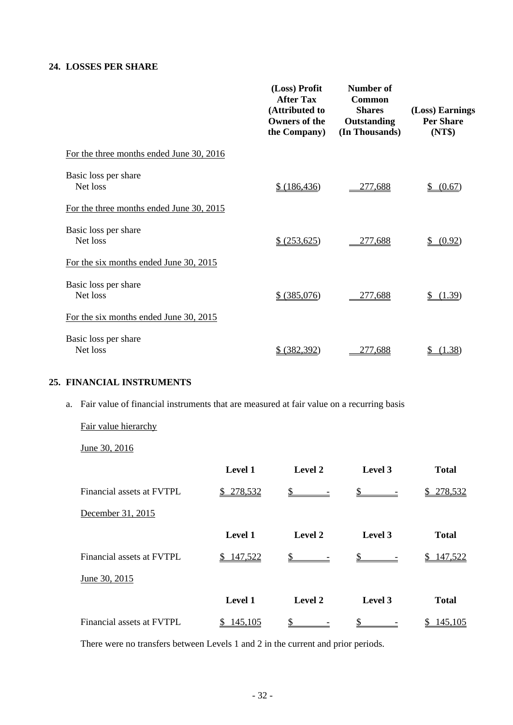## **24. LOSSES PER SHARE**

|                                          | (Loss) Profit<br><b>After Tax</b><br>(Attributed to<br><b>Owners of the</b><br>the Company) | Number of<br>Common<br><b>Shares</b><br>Outstanding<br>(In Thousands) | (Loss) Earnings<br><b>Per Share</b><br>(NT\$) |
|------------------------------------------|---------------------------------------------------------------------------------------------|-----------------------------------------------------------------------|-----------------------------------------------|
| For the three months ended June 30, 2016 |                                                                                             |                                                                       |                                               |
| Basic loss per share<br>Net loss         | \$ (186, 436)                                                                               | 277,688                                                               | (0.67)<br>\$                                  |
| For the three months ended June 30, 2015 |                                                                                             |                                                                       |                                               |
| Basic loss per share<br>Net loss         | \$ (253,625)                                                                                | 277,688                                                               | (0.92)<br>S                                   |
| For the six months ended June 30, 2015   |                                                                                             |                                                                       |                                               |
| Basic loss per share<br>Net loss         | \$ (385,076)                                                                                | 277,688                                                               | (1.39)                                        |
| For the six months ended June 30, 2015   |                                                                                             |                                                                       |                                               |
| Basic loss per share<br>Net loss         | (382, 392)<br>S                                                                             | 277.688                                                               | (1.38)                                        |

# **25. FINANCIAL INSTRUMENTS**

a. Fair value of financial instruments that are measured at fair value on a recurring basis

Fair value hierarchy

June 30, 2016

|                           | Level 1       | Level 2                     | Level 3                           | <b>Total</b> |
|---------------------------|---------------|-----------------------------|-----------------------------------|--------------|
| Financial assets at FVTPL | 278,532<br>\$ | S                           | $\frac{\mathcal{S}}{\mathcal{S}}$ | 278,532      |
| December 31, 2015         |               |                             |                                   |              |
|                           | Level 1       | Level 2                     | Level 3                           | <b>Total</b> |
| Financial assets at FVTPL | \$147,522     | $\frac{\text{S}}{\text{S}}$ |                                   | 147,522      |
| June 30, 2015             |               |                             |                                   |              |
|                           | Level 1       | Level 2                     | Level 3                           | <b>Total</b> |
| Financial assets at FVTPL | 145,105<br>S. | \$                          |                                   | 145,105      |

There were no transfers between Levels 1 and 2 in the current and prior periods.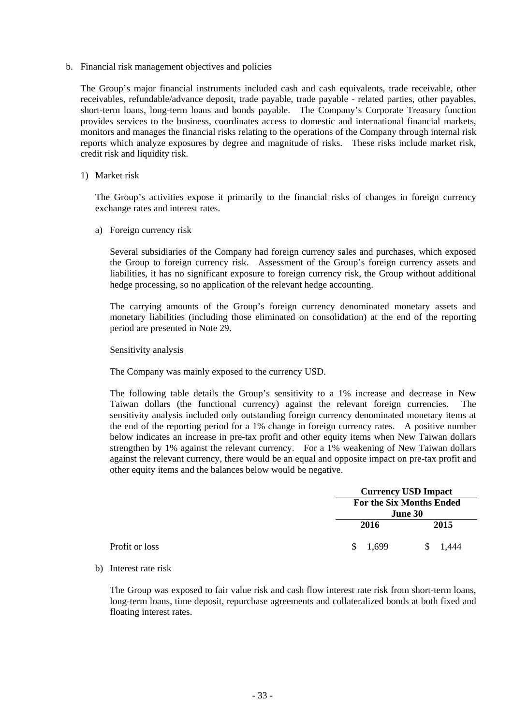b. Financial risk management objectives and policies

The Group's major financial instruments included cash and cash equivalents, trade receivable, other receivables, refundable/advance deposit, trade payable, trade payable - related parties, other payables, short-term loans, long-term loans and bonds payable. The Company's Corporate Treasury function provides services to the business, coordinates access to domestic and international financial markets, monitors and manages the financial risks relating to the operations of the Company through internal risk reports which analyze exposures by degree and magnitude of risks. These risks include market risk, credit risk and liquidity risk.

1) Market risk

The Group's activities expose it primarily to the financial risks of changes in foreign currency exchange rates and interest rates.

a) Foreign currency risk

Several subsidiaries of the Company had foreign currency sales and purchases, which exposed the Group to foreign currency risk. Assessment of the Group's foreign currency assets and liabilities, it has no significant exposure to foreign currency risk, the Group without additional hedge processing, so no application of the relevant hedge accounting.

The carrying amounts of the Group's foreign currency denominated monetary assets and monetary liabilities (including those eliminated on consolidation) at the end of the reporting period are presented in Note 29.

Sensitivity analysis

The Company was mainly exposed to the currency USD.

The following table details the Group's sensitivity to a 1% increase and decrease in New Taiwan dollars (the functional currency) against the relevant foreign currencies. The sensitivity analysis included only outstanding foreign currency denominated monetary items at the end of the reporting period for a 1% change in foreign currency rates. A positive number below indicates an increase in pre-tax profit and other equity items when New Taiwan dollars strengthen by 1% against the relevant currency. For a 1% weakening of New Taiwan dollars against the relevant currency, there would be an equal and opposite impact on pre-tax profit and other equity items and the balances below would be negative.

|                |                                 | <b>Currency USD Impact</b> |  |  |
|----------------|---------------------------------|----------------------------|--|--|
|                | <b>For the Six Months Ended</b> |                            |  |  |
|                | June 30                         |                            |  |  |
|                | 2016                            | 2015                       |  |  |
| Profit or loss | 1,699<br><sup>S</sup>           | 1.444                      |  |  |

b) Interest rate risk

The Group was exposed to fair value risk and cash flow interest rate risk from short-term loans, long-term loans, time deposit, repurchase agreements and collateralized bonds at both fixed and floating interest rates.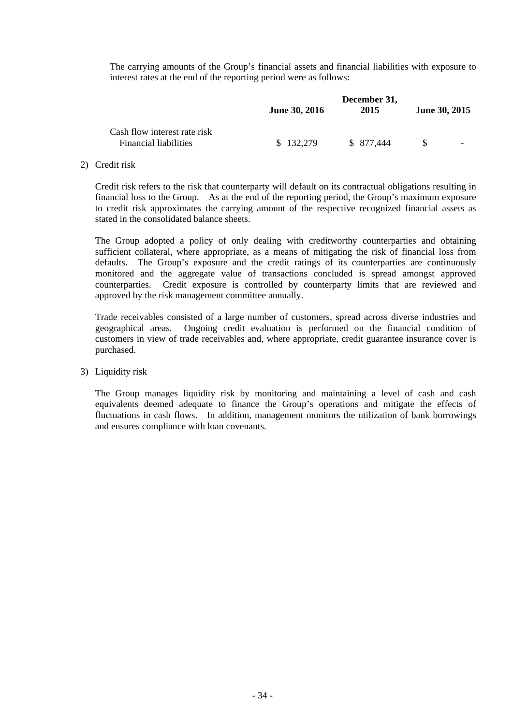The carrying amounts of the Group's financial assets and financial liabilities with exposure to interest rates at the end of the reporting period were as follows:

|                                                              | <b>June 30, 2016</b> | December 31,<br>2015 | June 30, 2015 |
|--------------------------------------------------------------|----------------------|----------------------|---------------|
| Cash flow interest rate risk<br><b>Financial liabilities</b> | \$132,279            | \$ 877,444           | -             |

#### 2) Credit risk

Credit risk refers to the risk that counterparty will default on its contractual obligations resulting in financial loss to the Group. As at the end of the reporting period, the Group's maximum exposure to credit risk approximates the carrying amount of the respective recognized financial assets as stated in the consolidated balance sheets.

The Group adopted a policy of only dealing with creditworthy counterparties and obtaining sufficient collateral, where appropriate, as a means of mitigating the risk of financial loss from defaults. The Group's exposure and the credit ratings of its counterparties are continuously monitored and the aggregate value of transactions concluded is spread amongst approved counterparties. Credit exposure is controlled by counterparty limits that are reviewed and approved by the risk management committee annually.

Trade receivables consisted of a large number of customers, spread across diverse industries and geographical areas. Ongoing credit evaluation is performed on the financial condition of customers in view of trade receivables and, where appropriate, credit guarantee insurance cover is purchased.

#### 3) Liquidity risk

The Group manages liquidity risk by monitoring and maintaining a level of cash and cash equivalents deemed adequate to finance the Group's operations and mitigate the effects of fluctuations in cash flows. In addition, management monitors the utilization of bank borrowings and ensures compliance with loan covenants.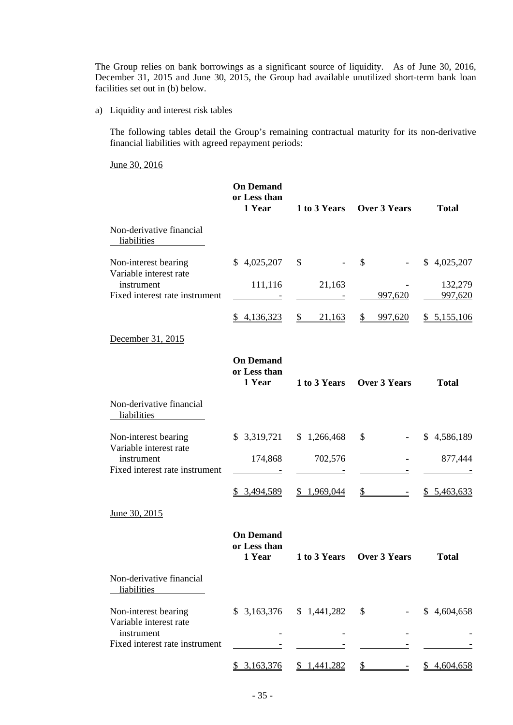The Group relies on bank borrowings as a significant source of liquidity. As of June 30, 2016, December 31, 2015 and June 30, 2015, the Group had available unutilized short-term bank loan facilities set out in (b) below.

a) Liquidity and interest risk tables

The following tables detail the Group's remaining contractual maturity for its non-derivative financial liabilities with agreed repayment periods:

June 30, 2016

|                                                                        | <b>On Demand</b><br>or Less than<br>1 Year | 1 to 3 Years            | <b>Over 3 Years</b>       | <b>Total</b>       |
|------------------------------------------------------------------------|--------------------------------------------|-------------------------|---------------------------|--------------------|
| Non-derivative financial<br>liabilities                                |                                            |                         |                           |                    |
| Non-interest bearing                                                   | \$4,025,207                                | \$                      | $\mathcal{S}$             | \$4,025,207        |
| Variable interest rate<br>instrument<br>Fixed interest rate instrument | 111,116<br>$\equiv$                        | 21,163                  | 997,620                   | 132,279<br>997,620 |
|                                                                        | \$4,136,323                                | $\frac{1}{2}$<br>21,163 | \$<br>997,620             | \$5,155,106        |
| December 31, 2015                                                      |                                            |                         |                           |                    |
|                                                                        | <b>On Demand</b><br>or Less than<br>1 Year | 1 to 3 Years            | <b>Over 3 Years</b>       | <b>Total</b>       |
| Non-derivative financial<br>liabilities                                |                                            |                         |                           |                    |
| Non-interest bearing                                                   | \$3,319,721                                | \$1,266,468             | \$                        | \$4,586,189        |
| Variable interest rate<br>instrument<br>Fixed interest rate instrument | 174,868                                    | 702,576                 |                           | 877,444            |
|                                                                        | \$3,494,589                                | \$1,969,044             | \$                        | \$5,463,633        |
| June 30, 2015                                                          |                                            |                         |                           |                    |
|                                                                        | <b>On Demand</b><br>or Less than<br>1 Year |                         | 1 to 3 Years Over 3 Years | <b>Total</b>       |
| Non-derivative financial<br>liabilities                                |                                            |                         |                           |                    |
| Non-interest bearing<br>Variable interest rate                         | \$3,163,376                                | \$1,441,282             | \$                        | \$4,604,658        |
| instrument<br>Fixed interest rate instrument                           |                                            |                         |                           |                    |
|                                                                        | \$3,163,376                                | \$1,441,282             |                           | 4,604,658<br>S.    |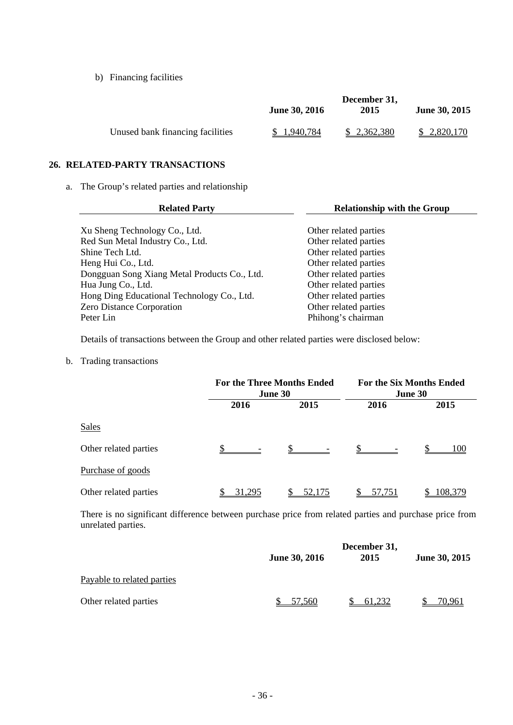b) Financing facilities

|                                  | December 31,         |             |                      |  |
|----------------------------------|----------------------|-------------|----------------------|--|
|                                  | <b>June 30, 2016</b> | 2015        | <b>June 30, 2015</b> |  |
| Unused bank financing facilities | 1.940.784            | \$2,362,380 | \$2,820,170          |  |

## **26. RELATED-PARTY TRANSACTIONS**

a. The Group's related parties and relationship

| <b>Related Party</b>                         | <b>Relationship with the Group</b> |
|----------------------------------------------|------------------------------------|
|                                              |                                    |
| Xu Sheng Technology Co., Ltd.                | Other related parties              |
| Red Sun Metal Industry Co., Ltd.             | Other related parties              |
| Shine Tech Ltd.                              | Other related parties              |
| Heng Hui Co., Ltd.                           | Other related parties              |
| Dongguan Song Xiang Metal Products Co., Ltd. | Other related parties              |
| Hua Jung Co., Ltd.                           | Other related parties              |
| Hong Ding Educational Technology Co., Ltd.   | Other related parties              |
| <b>Zero Distance Corporation</b>             | Other related parties              |
| Peter Lin                                    | Phihong's chairman                 |

Details of transactions between the Group and other related parties were disclosed below:

b. Trading transactions

|                       | <b>For the Three Months Ended</b><br>June 30 |        | <b>For the Six Months Ended</b><br>June 30 |         |
|-----------------------|----------------------------------------------|--------|--------------------------------------------|---------|
|                       | 2016                                         | 2015   | 2016                                       | 2015    |
| <b>Sales</b>          |                                              |        |                                            |         |
| Other related parties |                                              |        | \$.                                        | 100     |
| Purchase of goods     |                                              |        |                                            |         |
| Other related parties | 31.295                                       | 52,175 | <u>57,751</u>                              | 108,379 |

There is no significant difference between purchase price from related parties and purchase price from unrelated parties.

|                            | December 31,  |        |               |
|----------------------------|---------------|--------|---------------|
|                            | June 30, 2016 | 2015   | June 30, 2015 |
| Payable to related parties |               |        |               |
| Other related parties      | 57.560        | 61.232 | 70.961        |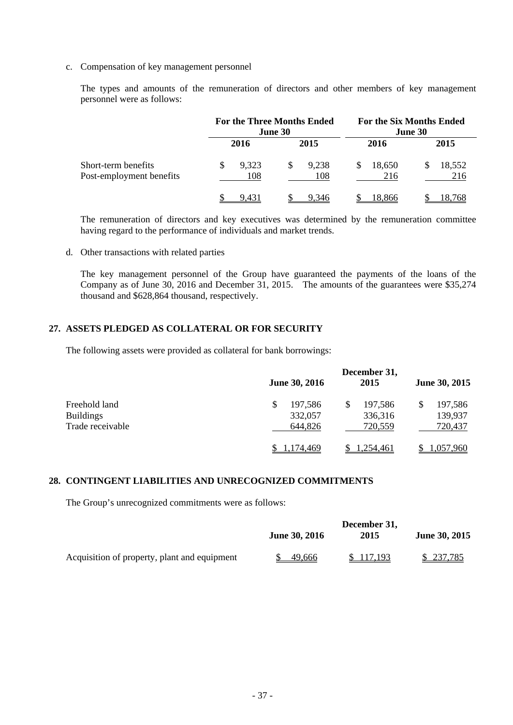c. Compensation of key management personnel

The types and amounts of the remuneration of directors and other members of key management personnel were as follows:

|                                                 | <b>For the Three Months Ended</b><br>June 30 |   | <b>For the Six Months Ended</b><br>June 30 |  |               |  |               |
|-------------------------------------------------|----------------------------------------------|---|--------------------------------------------|--|---------------|--|---------------|
|                                                 | 2016                                         |   | 2015                                       |  | 2016          |  | 2015          |
| Short-term benefits<br>Post-employment benefits | 9,323<br>108                                 | S | 9,238<br>108                               |  | 18,650<br>216 |  | 18,552<br>216 |
|                                                 | 9.431                                        |   | 9.346                                      |  | 18.866        |  | 18.768        |

The remuneration of directors and key executives was determined by the remuneration committee having regard to the performance of individuals and market trends.

d. Other transactions with related parties

The key management personnel of the Group have guaranteed the payments of the loans of the Company as of June 30, 2016 and December 31, 2015. The amounts of the guarantees were \$35,274 thousand and \$628,864 thousand, respectively.

## **27. ASSETS PLEDGED AS COLLATERAL OR FOR SECURITY**

The following assets were provided as collateral for bank borrowings:

|                  | <b>June 30, 2016</b> | December 31,<br>2015 | June 30, 2015    |
|------------------|----------------------|----------------------|------------------|
| Freehold land    | \$<br>197,586        | 197,586<br>\$        | 197,586          |
| <b>Buildings</b> | 332,057              | 336,316              | 139,937          |
| Trade receivable | 644,826              | 720,559              | 720,437          |
|                  | 174,469              | 1,254,461            | <u>1,057,960</u> |

#### **28. CONTINGENT LIABILITIES AND UNRECOGNIZED COMMITMENTS**

The Group's unrecognized commitments were as follows:

|                                              | <b>June 30, 2016</b> | December 31,<br>2015 | June 30, 2015 |  |
|----------------------------------------------|----------------------|----------------------|---------------|--|
| Acquisition of property, plant and equipment | 49.666               | \$117,193            | \$237,785     |  |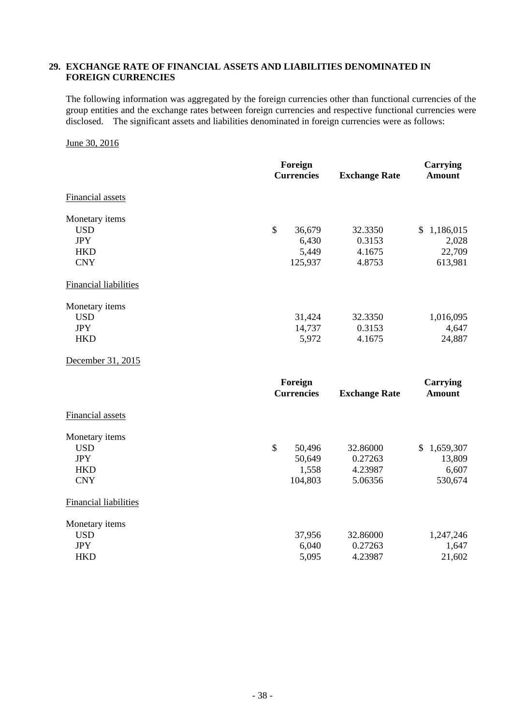### **29. EXCHANGE RATE OF FINANCIAL ASSETS AND LIABILITIES DENOMINATED IN FOREIGN CURRENCIES**

The following information was aggregated by the foreign currencies other than functional currencies of the group entities and the exchange rates between foreign currencies and respective functional currencies were disclosed. The significant assets and liabilities denominated in foreign currencies were as follows:

#### June 30, 2016

|                              | Foreign<br><b>Currencies</b> | <b>Exchange Rate</b> | <b>Carrying</b><br><b>Amount</b> |
|------------------------------|------------------------------|----------------------|----------------------------------|
| <b>Financial assets</b>      |                              |                      |                                  |
| Monetary items               |                              |                      |                                  |
| <b>USD</b>                   | \$<br>36,679                 | 32.3350              | \$1,186,015                      |
| <b>JPY</b>                   | 6,430                        | 0.3153               | 2,028                            |
| <b>HKD</b>                   | 5,449                        | 4.1675               | 22,709                           |
| <b>CNY</b>                   | 125,937                      | 4.8753               | 613,981                          |
| <b>Financial liabilities</b> |                              |                      |                                  |
| Monetary items               |                              |                      |                                  |
| <b>USD</b>                   | 31,424                       | 32.3350              | 1,016,095                        |
| <b>JPY</b>                   | 14,737                       | 0.3153               | 4,647                            |
| <b>HKD</b>                   | 5,972                        | 4.1675               | 24,887                           |
| December 31, 2015            |                              |                      |                                  |
|                              | Foreign                      |                      | <b>Carrying</b>                  |
|                              | <b>Currencies</b>            | <b>Exchange Rate</b> | <b>Amount</b>                    |
| Financial assets             |                              |                      |                                  |
| Monetary items               |                              |                      |                                  |
| <b>USD</b>                   | \$<br>50,496                 | 32.86000             | $\mathcal{S}$<br>1,659,307       |
| <b>JPY</b>                   | 50,649                       | 0.27263              | 13,809                           |
| <b>HKD</b>                   | 1,558                        | 4.23987              | 6,607                            |
| <b>CNY</b>                   | 104,803                      | 5.06356              | 530,674                          |
| <b>Financial liabilities</b> |                              |                      |                                  |
| Monetary items               |                              |                      |                                  |
| <b>USD</b>                   | 37,956                       | 32.86000             | 1,247,246                        |
| <b>JPY</b>                   | 6,040                        | 0.27263              | 1,647                            |
| <b>HKD</b>                   | 5,095                        | 4.23987              | 21,602                           |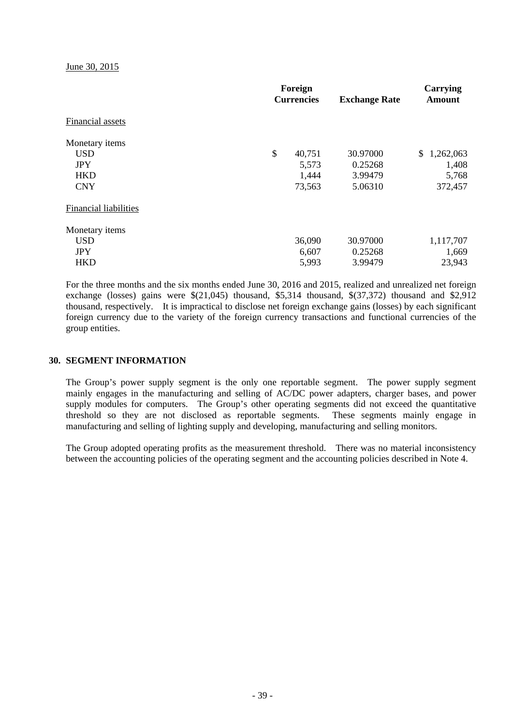June 30, 2015

|                              | Foreign<br><b>Currencies</b> |        | <b>Exchange Rate</b> | Carrying<br><b>Amount</b> |  |
|------------------------------|------------------------------|--------|----------------------|---------------------------|--|
| Financial assets             |                              |        |                      |                           |  |
| Monetary items               |                              |        |                      |                           |  |
| <b>USD</b>                   | \$                           | 40,751 | 30.97000             | 1,262,063<br>S.           |  |
| <b>JPY</b>                   |                              | 5,573  | 0.25268              | 1,408                     |  |
| <b>HKD</b>                   |                              | 1,444  | 3.99479              | 5,768                     |  |
| <b>CNY</b>                   |                              | 73,563 | 5.06310              | 372,457                   |  |
| <b>Financial liabilities</b> |                              |        |                      |                           |  |
| Monetary items               |                              |        |                      |                           |  |
| <b>USD</b>                   |                              | 36,090 | 30.97000             | 1,117,707                 |  |
| <b>JPY</b>                   |                              | 6,607  | 0.25268              | 1,669                     |  |
| <b>HKD</b>                   |                              | 5,993  | 3.99479              | 23,943                    |  |

For the three months and the six months ended June 30, 2016 and 2015, realized and unrealized net foreign exchange (losses) gains were \$(21,045) thousand, \$5,314 thousand, \$(37,372) thousand and \$2,912 thousand, respectively. It is impractical to disclose net foreign exchange gains (losses) by each significant foreign currency due to the variety of the foreign currency transactions and functional currencies of the group entities.

#### **30. SEGMENT INFORMATION**

The Group's power supply segment is the only one reportable segment. The power supply segment mainly engages in the manufacturing and selling of AC/DC power adapters, charger bases, and power supply modules for computers. The Group's other operating segments did not exceed the quantitative threshold so they are not disclosed as reportable segments. These segments mainly engage in manufacturing and selling of lighting supply and developing, manufacturing and selling monitors.

The Group adopted operating profits as the measurement threshold. There was no material inconsistency between the accounting policies of the operating segment and the accounting policies described in Note 4.